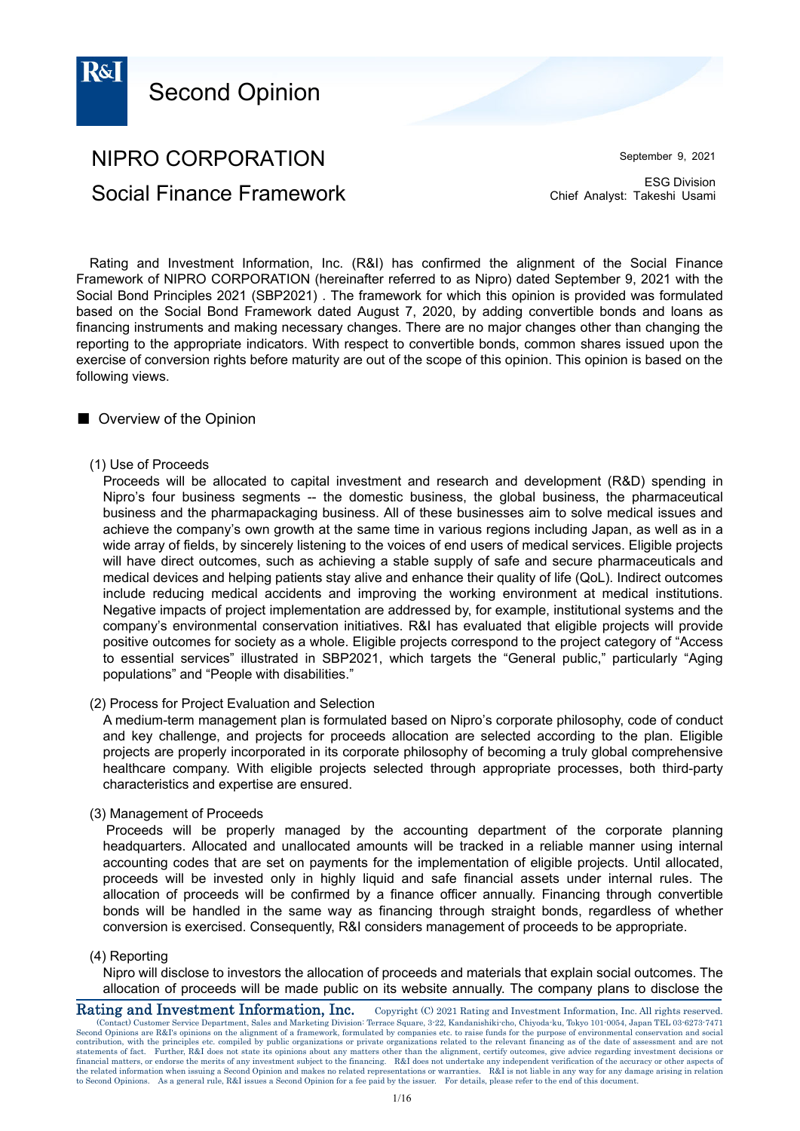

# NIPRO CORPORATION Social Finance Framework

September 9, 2021

ESG Division Chief Analyst: Takeshi Usami

Rating and Investment Information, Inc. (R&I) has confirmed the alignment of the Social Finance Framework of NIPRO CORPORATION (hereinafter referred to as Nipro) dated September 9, 2021 with the Social Bond Principles 2021 (SBP2021) . The framework for which this opinion is provided was formulated based on the Social Bond Framework dated August 7, 2020, by adding convertible bonds and loans as financing instruments and making necessary changes. There are no major changes other than changing the reporting to the appropriate indicators. With respect to convertible bonds, common shares issued upon the exercise of conversion rights before maturity are out of the scope of this opinion. This opinion is based on the following views.

## ■ Overview of the Opinion

(1) Use of Proceeds

Proceeds will be allocated to capital investment and research and development (R&D) spending in Nipro's four business segments -- the domestic business, the global business, the pharmaceutical business and the pharmapackaging business. All of these businesses aim to solve medical issues and achieve the company's own growth at the same time in various regions including Japan, as well as in a wide array of fields, by sincerely listening to the voices of end users of medical services. Eligible projects will have direct outcomes, such as achieving a stable supply of safe and secure pharmaceuticals and medical devices and helping patients stay alive and enhance their quality of life (QoL). Indirect outcomes include reducing medical accidents and improving the working environment at medical institutions. Negative impacts of project implementation are addressed by, for example, institutional systems and the company's environmental conservation initiatives. R&I has evaluated that eligible projects will provide positive outcomes for society as a whole. Eligible projects correspond to the project category of "Access to essential services" illustrated in SBP2021, which targets the "General public," particularly "Aging populations" and "People with disabilities."

(2) Process for Project Evaluation and Selection

A medium-term management plan is formulated based on Nipro's corporate philosophy, code of conduct and key challenge, and projects for proceeds allocation are selected according to the plan. Eligible projects are properly incorporated in its corporate philosophy of becoming a truly global comprehensive healthcare company. With eligible projects selected through appropriate processes, both third-party characteristics and expertise are ensured.

### (3) Management of Proceeds

Proceeds will be properly managed by the accounting department of the corporate planning headquarters. Allocated and unallocated amounts will be tracked in a reliable manner using internal accounting codes that are set on payments for the implementation of eligible projects. Until allocated, proceeds will be invested only in highly liquid and safe financial assets under internal rules. The allocation of proceeds will be confirmed by a finance officer annually. Financing through convertible bonds will be handled in the same way as financing through straight bonds, regardless of whether conversion is exercised. Consequently, R&I considers management of proceeds to be appropriate.

### (4) Reporting

allocation of proceeds will be made public on its website annually. The company plans to disclose the **Rating and Investment Information, Inc.** Copyright (C) 2021 Rating and Investment Information, Inc. All rights reserved Nipro will disclose to investors the allocation of proceeds and materials that explain social outcomes. The

(Contact) Customer Service Department, Sales and Marketing Division: Terrace Square, 3-22, Kandanishiki-cho, Chiyoda-ku, Tokyo 101-0054, Japan TEL 03-6273-7471 Second Opinions are R&I's opinions on the alignment of a framework, formulated by companies etc. to raise funds for the purpose of environmental conservation and social contribution, with the principles etc. compiled by public organizations or private organizations related to the relevant financing as of the date of assessment and are not<br>statements of fact. Further, R&I does not state financial matters, or endorse the merits of any investment subject to the financing. R&I does not undertake any independent verification of the accuracy or other aspects of<br>the related information when issuing a Second Opi to Second Opinions. As a general rule, R&I issues a Second Opinion for a fee paid by the issuer. For details, please refer to the end of this document.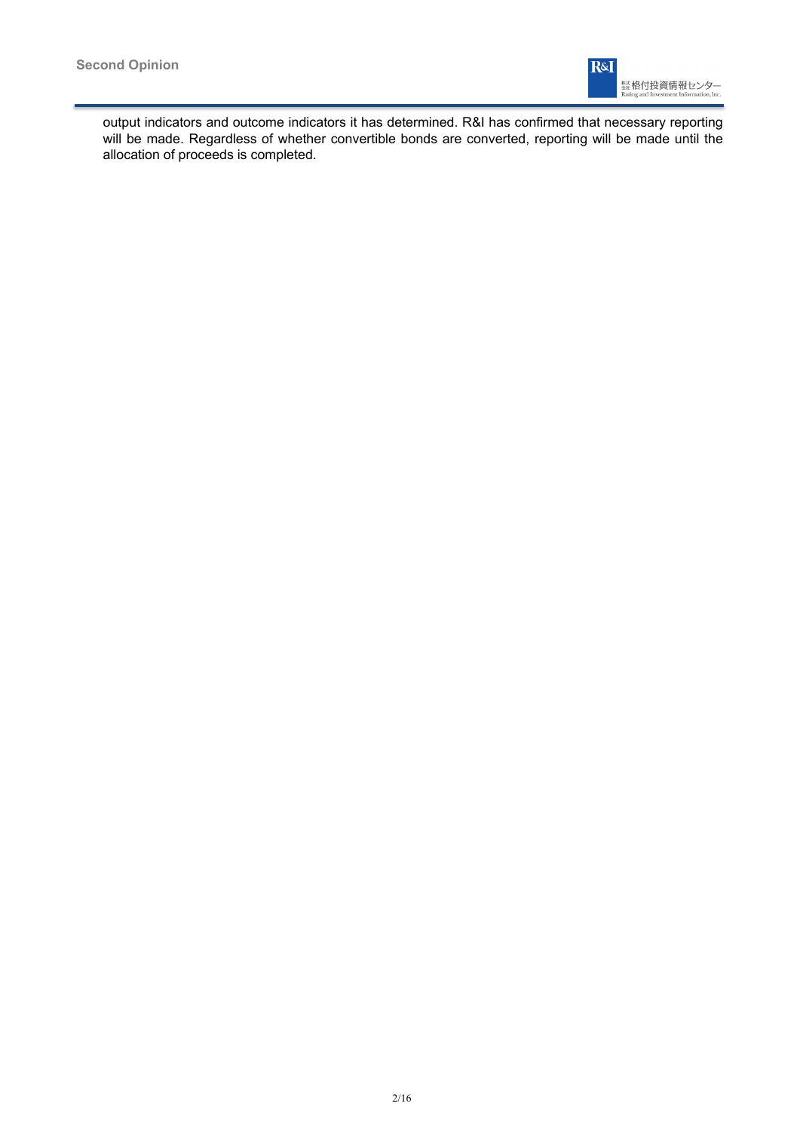

output indicators and outcome indicators it has determined. R&I has confirmed that necessary reporting will be made. Regardless of whether convertible bonds are converted, reporting will be made until the allocation of proceeds is completed.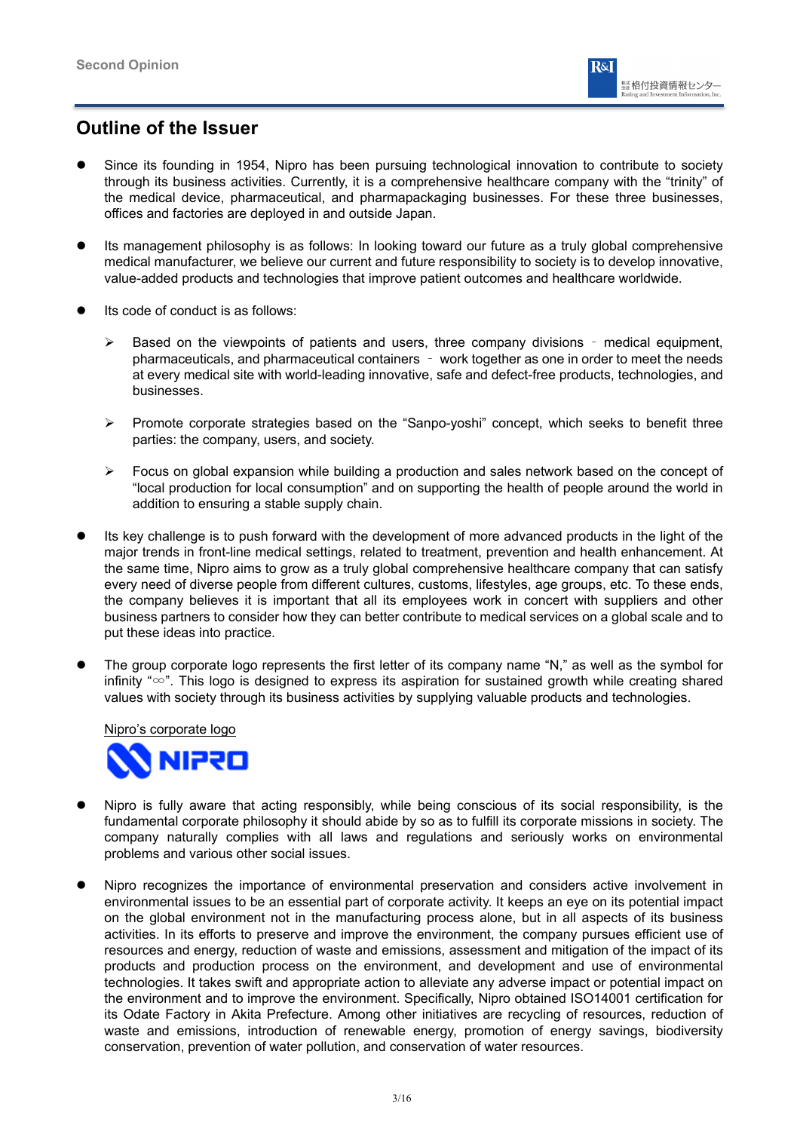

## **Outline of the Issuer**

- Since its founding in 1954, Nipro has been pursuing technological innovation to contribute to society through its business activities. Currently, it is a comprehensive healthcare company with the "trinity" of the medical device, pharmaceutical, and pharmapackaging businesses. For these three businesses, offices and factories are deployed in and outside Japan.
- Its management philosophy is as follows: In looking toward our future as a truly global comprehensive medical manufacturer, we believe our current and future responsibility to society is to develop innovative, value-added products and technologies that improve patient outcomes and healthcare worldwide.
- Its code of conduct is as follows:
	- $\triangleright$  Based on the viewpoints of patients and users, three company divisions medical equipment, pharmaceuticals, and pharmaceutical containers – work together as one in order to meet the needs at every medical site with world-leading innovative, safe and defect-free products, technologies, and businesses.
	- $\triangleright$  Promote corporate strategies based on the "Sanpo-yoshi" concept, which seeks to benefit three parties: the company, users, and society.
	- Focus on global expansion while building a production and sales network based on the concept of "local production for local consumption" and on supporting the health of people around the world in addition to ensuring a stable supply chain.
- Its key challenge is to push forward with the development of more advanced products in the light of the major trends in front-line medical settings, related to treatment, prevention and health enhancement. At the same time, Nipro aims to grow as a truly global comprehensive healthcare company that can satisfy every need of diverse people from different cultures, customs, lifestyles, age groups, etc. To these ends, the company believes it is important that all its employees work in concert with suppliers and other business partners to consider how they can better contribute to medical services on a global scale and to put these ideas into practice.
- The group corporate logo represents the first letter of its company name "N," as well as the symbol for infinity "∞". This logo is designed to express its aspiration for sustained growth while creating shared values with society through its business activities by supplying valuable products and technologies.

Nipro's corporate logo



- Nipro is fully aware that acting responsibly, while being conscious of its social responsibility, is the fundamental corporate philosophy it should abide by so as to fulfill its corporate missions in society. The company naturally complies with all laws and regulations and seriously works on environmental problems and various other social issues.
- Nipro recognizes the importance of environmental preservation and considers active involvement in environmental issues to be an essential part of corporate activity. It keeps an eye on its potential impact on the global environment not in the manufacturing process alone, but in all aspects of its business activities. In its efforts to preserve and improve the environment, the company pursues efficient use of resources and energy, reduction of waste and emissions, assessment and mitigation of the impact of its products and production process on the environment, and development and use of environmental technologies. It takes swift and appropriate action to alleviate any adverse impact or potential impact on the environment and to improve the environment. Specifically, Nipro obtained ISO14001 certification for its Odate Factory in Akita Prefecture. Among other initiatives are recycling of resources, reduction of waste and emissions, introduction of renewable energy, promotion of energy savings, biodiversity conservation, prevention of water pollution, and conservation of water resources.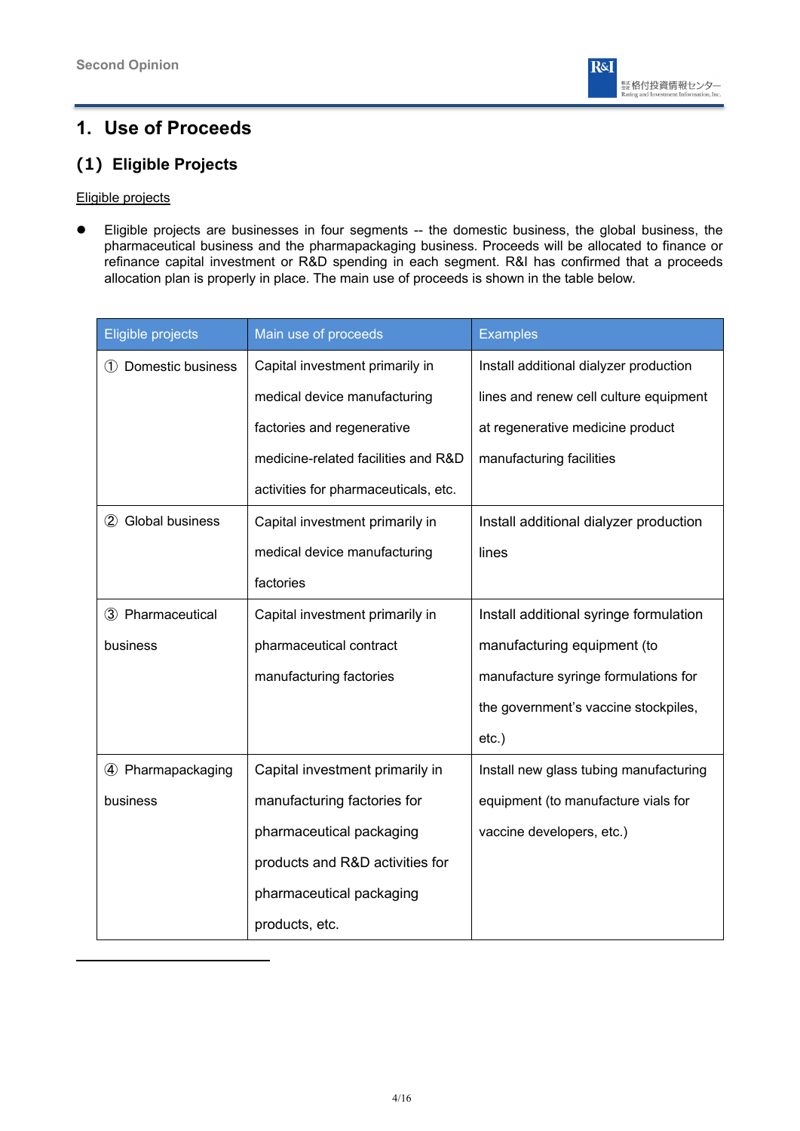

## **1. Use of Proceeds**

## **(1) Eligible Projects**

### Eligible projects

 Eligible projects are businesses in four segments -- the domestic business, the global business, the pharmaceutical business and the pharmapackaging business. Proceeds will be allocated to finance or refinance capital investment or R&D spending in each segment. R&I has confirmed that a proceeds allocation plan is properly in place. The main use of proceeds is shown in the table below.

| Eligible projects   | Main use of proceeds                 | <b>Examples</b>                        |
|---------------------|--------------------------------------|----------------------------------------|
| 1 Domestic business | Capital investment primarily in      | Install additional dialyzer production |
|                     | medical device manufacturing         | lines and renew cell culture equipment |
|                     | factories and regenerative           | at regenerative medicine product       |
|                     | medicine-related facilities and R&D  | manufacturing facilities               |
|                     | activities for pharmaceuticals, etc. |                                        |
| 2 Global business   | Capital investment primarily in      | Install additional dialyzer production |
|                     | medical device manufacturing         | lines                                  |
|                     | factories                            |                                        |
| 3 Pharmaceutical    | Capital investment primarily in      | Install additional syringe formulation |
| business            | pharmaceutical contract              | manufacturing equipment (to            |
|                     | manufacturing factories              | manufacture syringe formulations for   |
|                     |                                      | the government's vaccine stockpiles,   |
|                     |                                      | $etc.$ )                               |
| 4 Pharmapackaging   | Capital investment primarily in      | Install new glass tubing manufacturing |
| business            | manufacturing factories for          | equipment (to manufacture vials for    |
|                     | pharmaceutical packaging             | vaccine developers, etc.)              |
|                     | products and R&D activities for      |                                        |
|                     | pharmaceutical packaging             |                                        |
|                     | products, etc.                       |                                        |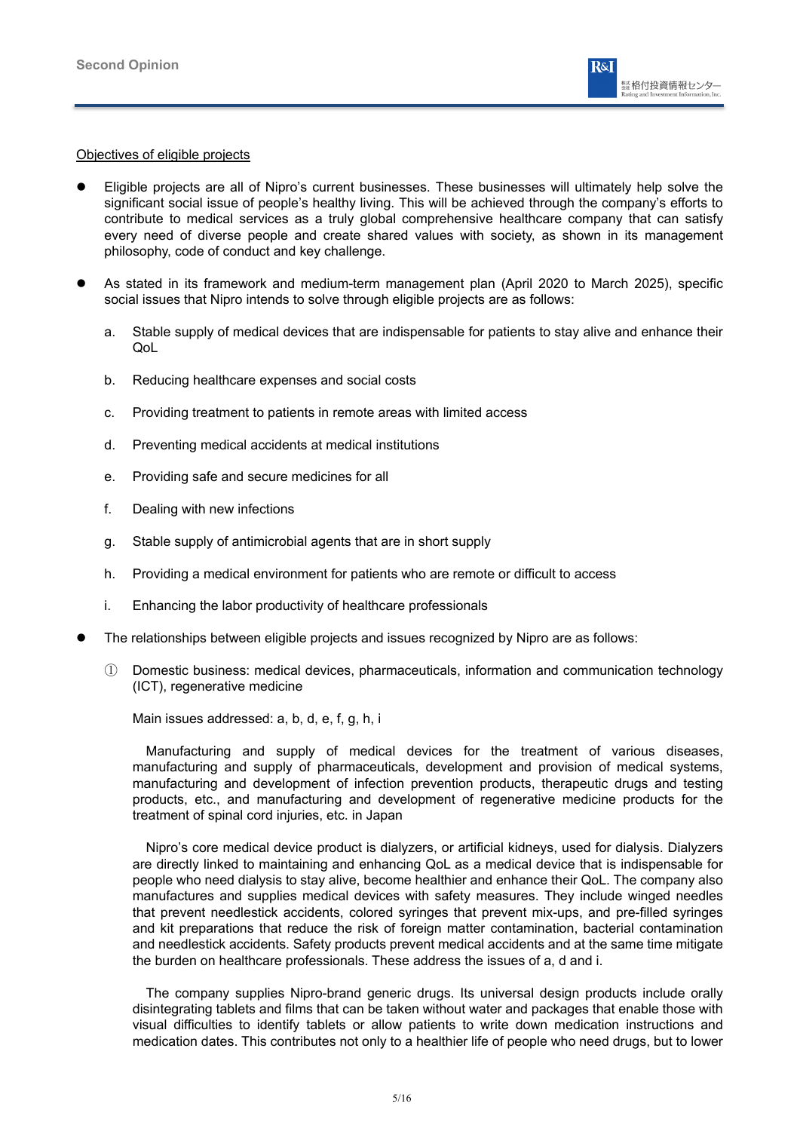### Objectives of eligible projects

- Eligible projects are all of Nipro's current businesses. These businesses will ultimately help solve the significant social issue of people's healthy living. This will be achieved through the company's efforts to contribute to medical services as a truly global comprehensive healthcare company that can satisfy every need of diverse people and create shared values with society, as shown in its management philosophy, code of conduct and key challenge.
- As stated in its framework and medium-term management plan (April 2020 to March 2025), specific social issues that Nipro intends to solve through eligible projects are as follows:
	- a. Stable supply of medical devices that are indispensable for patients to stay alive and enhance their QoL
	- b. Reducing healthcare expenses and social costs
	- c. Providing treatment to patients in remote areas with limited access
	- d. Preventing medical accidents at medical institutions
	- e. Providing safe and secure medicines for all
	- f. Dealing with new infections
	- g. Stable supply of antimicrobial agents that are in short supply
	- h. Providing a medical environment for patients who are remote or difficult to access
	- i. Enhancing the labor productivity of healthcare professionals
- The relationships between eligible projects and issues recognized by Nipro are as follows:
	- ① Domestic business: medical devices, pharmaceuticals, information and communication technology (ICT), regenerative medicine

Main issues addressed: a, b, d, e, f, g, h, i

Manufacturing and supply of medical devices for the treatment of various diseases, manufacturing and supply of pharmaceuticals, development and provision of medical systems, manufacturing and development of infection prevention products, therapeutic drugs and testing products, etc., and manufacturing and development of regenerative medicine products for the treatment of spinal cord injuries, etc. in Japan

Nipro's core medical device product is dialyzers, or artificial kidneys, used for dialysis. Dialyzers are directly linked to maintaining and enhancing QoL as a medical device that is indispensable for people who need dialysis to stay alive, become healthier and enhance their QoL. The company also manufactures and supplies medical devices with safety measures. They include winged needles that prevent needlestick accidents, colored syringes that prevent mix-ups, and pre-filled syringes and kit preparations that reduce the risk of foreign matter contamination, bacterial contamination and needlestick accidents. Safety products prevent medical accidents and at the same time mitigate the burden on healthcare professionals. These address the issues of a, d and i.

The company supplies Nipro-brand generic drugs. Its universal design products include orally disintegrating tablets and films that can be taken without water and packages that enable those with visual difficulties to identify tablets or allow patients to write down medication instructions and medication dates. This contributes not only to a healthier life of people who need drugs, but to lower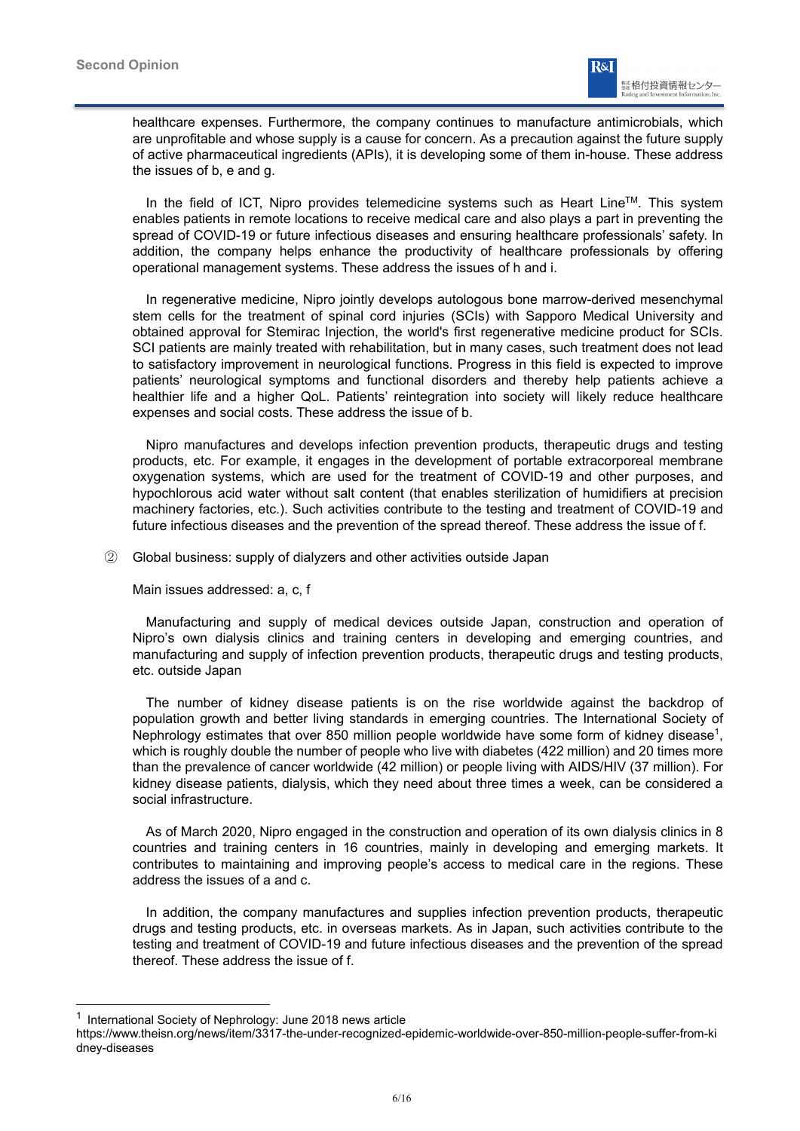

healthcare expenses. Furthermore, the company continues to manufacture antimicrobials, which are unprofitable and whose supply is a cause for concern. As a precaution against the future supply of active pharmaceutical ingredients (APIs), it is developing some of them in-house. These address the issues of b, e and g.

In the field of ICT. Nipro provides telemedicine systems such as Heart Line<sup>TM</sup>. This system enables patients in remote locations to receive medical care and also plays a part in preventing the spread of COVID-19 or future infectious diseases and ensuring healthcare professionals' safety. In addition, the company helps enhance the productivity of healthcare professionals by offering operational management systems. These address the issues of h and i.

In regenerative medicine, Nipro jointly develops autologous bone marrow-derived mesenchymal stem cells for the treatment of spinal cord injuries (SCIs) with Sapporo Medical University and obtained approval for Stemirac Injection, the world's first regenerative medicine product for SCIs. SCI patients are mainly treated with rehabilitation, but in many cases, such treatment does not lead to satisfactory improvement in neurological functions. Progress in this field is expected to improve patients' neurological symptoms and functional disorders and thereby help patients achieve a healthier life and a higher QoL. Patients' reintegration into society will likely reduce healthcare expenses and social costs. These address the issue of b.

Nipro manufactures and develops infection prevention products, therapeutic drugs and testing products, etc. For example, it engages in the development of portable extracorporeal membrane oxygenation systems, which are used for the treatment of COVID-19 and other purposes, and hypochlorous acid water without salt content (that enables sterilization of humidifiers at precision machinery factories, etc.). Such activities contribute to the testing and treatment of COVID-19 and future infectious diseases and the prevention of the spread thereof. These address the issue of f.

② Global business: supply of dialyzers and other activities outside Japan

Main issues addressed: a, c, f

Manufacturing and supply of medical devices outside Japan, construction and operation of Nipro's own dialysis clinics and training centers in developing and emerging countries, and manufacturing and supply of infection prevention products, therapeutic drugs and testing products, etc. outside Japan

The number of kidney disease patients is on the rise worldwide against the backdrop of population growth and better living standards in emerging countries. The International Society of Nephrology estimates that over 850 million people worldwide have some form of kidney disease<sup>1</sup>. which is roughly double the number of people who live with diabetes (422 million) and 20 times more than the prevalence of cancer worldwide (42 million) or people living with AIDS/HIV (37 million). For kidney disease patients, dialysis, which they need about three times a week, can be considered a social infrastructure.

As of March 2020, Nipro engaged in the construction and operation of its own dialysis clinics in 8 countries and training centers in 16 countries, mainly in developing and emerging markets. It contributes to maintaining and improving people's access to medical care in the regions. These address the issues of a and c.

In addition, the company manufactures and supplies infection prevention products, therapeutic drugs and testing products, etc. in overseas markets. As in Japan, such activities contribute to the testing and treatment of COVID-19 and future infectious diseases and the prevention of the spread thereof. These address the issue of f.

<sup>&</sup>lt;sup>1</sup> International Society of Nephrology: June 2018 news article

https://www.theisn.org/news/item/3317-the-under-recognized-epidemic-worldwide-over-850-million-people-suffer-from-ki dney-diseases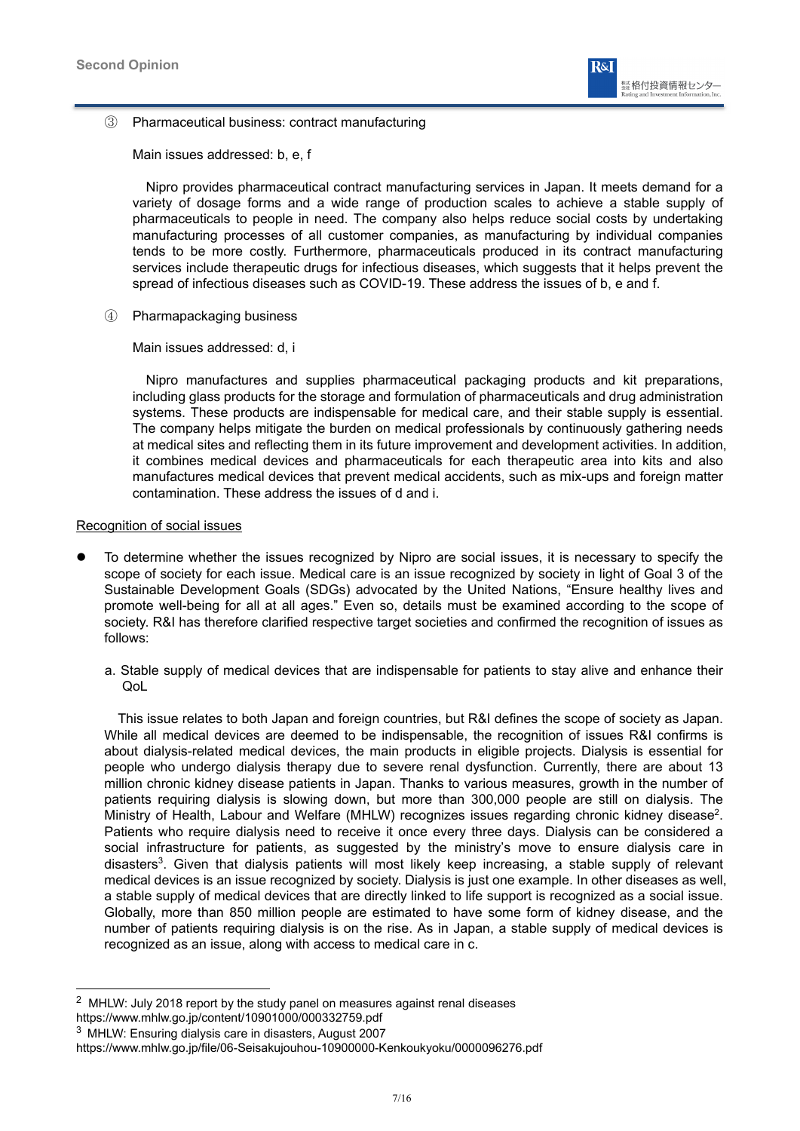

③ Pharmaceutical business: contract manufacturing

Main issues addressed: b, e, f

Nipro provides pharmaceutical contract manufacturing services in Japan. It meets demand for a variety of dosage forms and a wide range of production scales to achieve a stable supply of pharmaceuticals to people in need. The company also helps reduce social costs by undertaking manufacturing processes of all customer companies, as manufacturing by individual companies tends to be more costly. Furthermore, pharmaceuticals produced in its contract manufacturing services include therapeutic drugs for infectious diseases, which suggests that it helps prevent the spread of infectious diseases such as COVID-19. These address the issues of b, e and f.

④ Pharmapackaging business

Main issues addressed: d, i

Nipro manufactures and supplies pharmaceutical packaging products and kit preparations, including glass products for the storage and formulation of pharmaceuticals and drug administration systems. These products are indispensable for medical care, and their stable supply is essential. The company helps mitigate the burden on medical professionals by continuously gathering needs at medical sites and reflecting them in its future improvement and development activities. In addition, it combines medical devices and pharmaceuticals for each therapeutic area into kits and also manufactures medical devices that prevent medical accidents, such as mix-ups and foreign matter contamination. These address the issues of d and i.

### Recognition of social issues

- To determine whether the issues recognized by Nipro are social issues, it is necessary to specify the scope of society for each issue. Medical care is an issue recognized by society in light of Goal 3 of the Sustainable Development Goals (SDGs) advocated by the United Nations, "Ensure healthy lives and promote well-being for all at all ages." Even so, details must be examined according to the scope of society. R&I has therefore clarified respective target societies and confirmed the recognition of issues as follows:
	- a. Stable supply of medical devices that are indispensable for patients to stay alive and enhance their Ool.

This issue relates to both Japan and foreign countries, but R&I defines the scope of society as Japan. While all medical devices are deemed to be indispensable, the recognition of issues R&I confirms is about dialysis-related medical devices, the main products in eligible projects. Dialysis is essential for people who undergo dialysis therapy due to severe renal dysfunction. Currently, there are about 13 million chronic kidney disease patients in Japan. Thanks to various measures, growth in the number of patients requiring dialysis is slowing down, but more than 300,000 people are still on dialysis. The Ministry of Health, Labour and Welfare (MHLW) recognizes issues regarding chronic kidney disease<sup>2</sup>. Patients who require dialysis need to receive it once every three days. Dialysis can be considered a social infrastructure for patients, as suggested by the ministry's move to ensure dialysis care in disasters<sup>3</sup>. Given that dialysis patients will most likely keep increasing, a stable supply of relevant medical devices is an issue recognized by society. Dialysis is just one example. In other diseases as well, a stable supply of medical devices that are directly linked to life support is recognized as a social issue. Globally, more than 850 million people are estimated to have some form of kidney disease, and the number of patients requiring dialysis is on the rise. As in Japan, a stable supply of medical devices is recognized as an issue, along with access to medical care in c.

<sup>2</sup> MHLW: July 2018 report by the study panel on measures against renal diseases https://www.mhlw.go.jp/content/10901000/000332759.pdf

<sup>3</sup> MHLW: Ensuring dialysis care in disasters, August 2007

https://www.mhlw.go.jp/file/06-Seisakujouhou-10900000-Kenkoukyoku/0000096276.pdf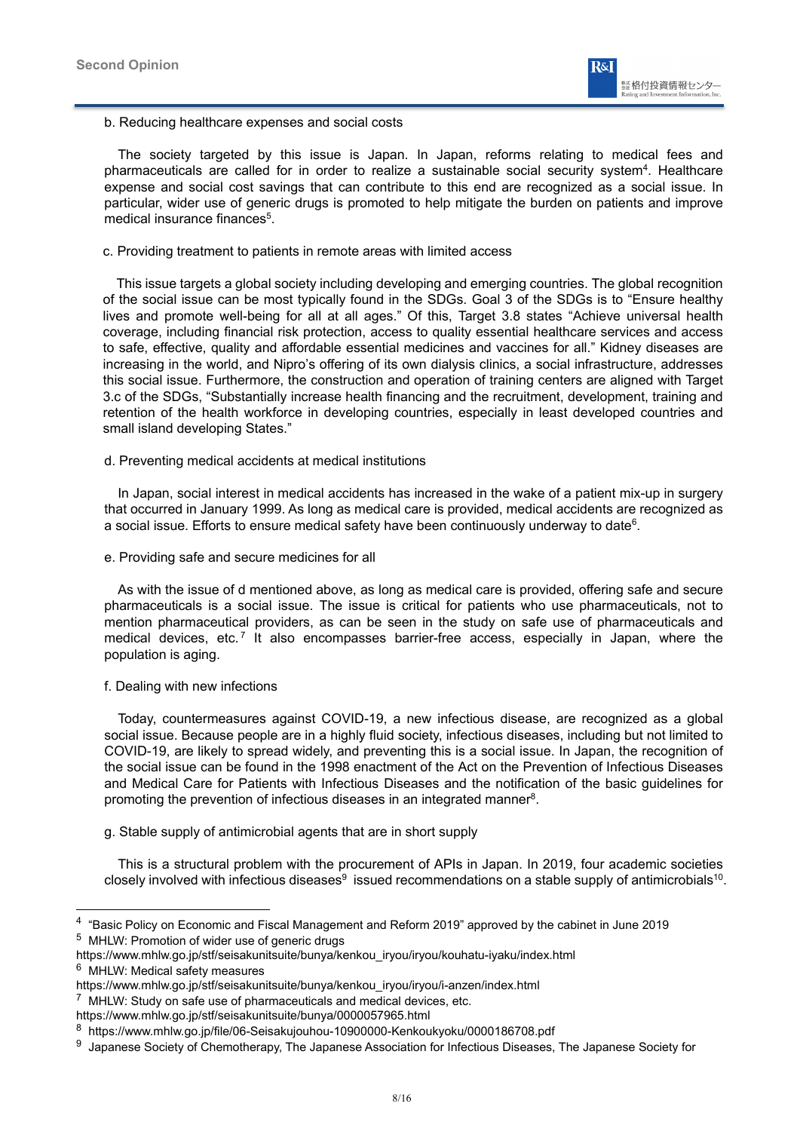b. Reducing healthcare expenses and social costs

The society targeted by this issue is Japan. In Japan, reforms relating to medical fees and pharmaceuticals are called for in order to realize a sustainable social security system<sup>4</sup>. Healthcare expense and social cost savings that can contribute to this end are recognized as a social issue. In particular, wider use of generic drugs is promoted to help mitigate the burden on patients and improve medical insurance finances<sup>5</sup>.

c. Providing treatment to patients in remote areas with limited access

 This issue targets a global society including developing and emerging countries. The global recognition of the social issue can be most typically found in the SDGs. Goal 3 of the SDGs is to "Ensure healthy lives and promote well-being for all at all ages." Of this, Target 3.8 states "Achieve universal health coverage, including financial risk protection, access to quality essential healthcare services and access to safe, effective, quality and affordable essential medicines and vaccines for all." Kidney diseases are increasing in the world, and Nipro's offering of its own dialysis clinics, a social infrastructure, addresses this social issue. Furthermore, the construction and operation of training centers are aligned with Target 3.c of the SDGs, "Substantially increase health financing and the recruitment, development, training and retention of the health workforce in developing countries, especially in least developed countries and small island developing States."

### d. Preventing medical accidents at medical institutions

In Japan, social interest in medical accidents has increased in the wake of a patient mix-up in surgery that occurred in January 1999. As long as medical care is provided, medical accidents are recognized as a social issue. Efforts to ensure medical safety have been continuously underway to date<sup>6</sup>.

### e. Providing safe and secure medicines for all

As with the issue of d mentioned above, as long as medical care is provided, offering safe and secure pharmaceuticals is a social issue. The issue is critical for patients who use pharmaceuticals, not to mention pharmaceutical providers, as can be seen in the study on safe use of pharmaceuticals and medical devices, etc.<sup>7</sup> It also encompasses barrier-free access, especially in Japan, where the population is aging.

### f. Dealing with new infections

Today, countermeasures against COVID-19, a new infectious disease, are recognized as a global social issue. Because people are in a highly fluid society, infectious diseases, including but not limited to COVID-19, are likely to spread widely, and preventing this is a social issue. In Japan, the recognition of the social issue can be found in the 1998 enactment of the Act on the Prevention of Infectious Diseases and Medical Care for Patients with Infectious Diseases and the notification of the basic guidelines for promoting the prevention of infectious diseases in an integrated manner<sup>8</sup>.

### g. Stable supply of antimicrobial agents that are in short supply

This is a structural problem with the procurement of APIs in Japan. In 2019, four academic societies closely involved with infectious diseases $9$  issued recommendations on a stable supply of antimicrobials<sup>10</sup>.

<sup>4</sup> "Basic Policy on Economic and Fiscal Management and Reform 2019" approved by the cabinet in June 2019 <sup>5</sup> MHLW: Promotion of wider use of generic drugs

https://www.mhlw.go.jp/stf/seisakunitsuite/bunya/kenkou\_iryou/iryou/kouhatu-iyaku/index.html

<sup>6</sup> MHLW: Medical safety measures

https://www.mhlw.go.jp/stf/seisakunitsuite/bunya/kenkou\_iryou/iryou/i-anzen/index.html

 $7$  MHLW: Study on safe use of pharmaceuticals and medical devices, etc.

https://www.mhlw.go.jp/stf/seisakunitsuite/bunya/0000057965.html

<sup>8</sup> https://www.mhlw.go.jp/file/06-Seisakujouhou-10900000-Kenkoukyoku/0000186708.pdf

<sup>&</sup>lt;sup>9</sup> Japanese Society of Chemotherapy, The Japanese Association for Infectious Diseases, The Japanese Society for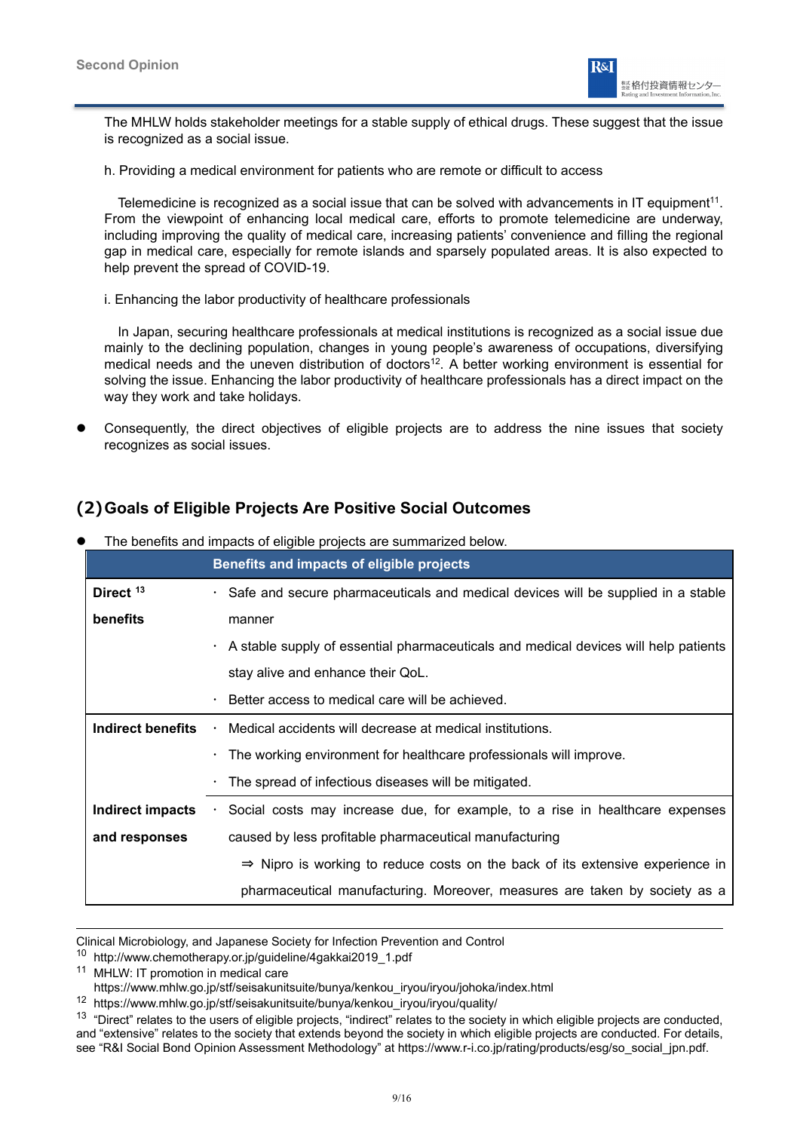

The MHLW holds stakeholder meetings for a stable supply of ethical drugs. These suggest that the issue is recognized as a social issue.

h. Providing a medical environment for patients who are remote or difficult to access

Telemedicine is recognized as a social issue that can be solved with advancements in IT equipment<sup>11</sup>. From the viewpoint of enhancing local medical care, efforts to promote telemedicine are underway, including improving the quality of medical care, increasing patients' convenience and filling the regional gap in medical care, especially for remote islands and sparsely populated areas. It is also expected to help prevent the spread of COVID-19.

i. Enhancing the labor productivity of healthcare professionals

In Japan, securing healthcare professionals at medical institutions is recognized as a social issue due mainly to the declining population, changes in young people's awareness of occupations, diversifying medical needs and the uneven distribution of doctors<sup>12</sup>. A better working environment is essential for solving the issue. Enhancing the labor productivity of healthcare professionals has a direct impact on the way they work and take holidays.

 Consequently, the direct objectives of eligible projects are to address the nine issues that society recognizes as social issues.

## **(2) Goals of Eligible Projects Are Positive Social Outcomes**

|                          | Benefits and impacts of eligible projects                                                 |  |
|--------------------------|-------------------------------------------------------------------------------------------|--|
| Direct <sup>13</sup>     | • Safe and secure pharmaceuticals and medical devices will be supplied in a stable        |  |
| benefits                 | manner                                                                                    |  |
|                          | A stable supply of essential pharmaceuticals and medical devices will help patients       |  |
|                          | stay alive and enhance their QoL.                                                         |  |
|                          | Better access to medical care will be achieved.<br>$\bullet$                              |  |
| <b>Indirect benefits</b> | Medical accidents will decrease at medical institutions.                                  |  |
|                          | $\cdot$ The working environment for healthcare professionals will improve.                |  |
|                          | $\cdot$ The spread of infectious diseases will be mitigated.                              |  |
| Indirect impacts         | Social costs may increase due, for example, to a rise in healthcare expenses              |  |
| and responses            | caused by less profitable pharmaceutical manufacturing                                    |  |
|                          | $\Rightarrow$ Nipro is working to reduce costs on the back of its extensive experience in |  |
|                          | pharmaceutical manufacturing. Moreover, measures are taken by society as a                |  |

The benefits and impacts of eligible projects are summarized below.

Clinical Microbiology, and Japanese Society for Infection Prevention and Control

<sup>10</sup> http://www.chemotherapy.or.jp/guideline/4gakkai2019\_1.pdf

<sup>&</sup>lt;sup>11</sup> MHLW: IT promotion in medical care

https://www.mhlw.go.jp/stf/seisakunitsuite/bunya/kenkou\_iryou/iryou/johoka/index.html

<sup>12</sup> https://www.mhlw.go.jp/stf/seisakunitsuite/bunya/kenkou\_iryou/iryou/quality/

<sup>&</sup>lt;sup>13</sup> "Direct" relates to the users of eligible projects, "indirect" relates to the society in which eligible projects are conducted, and "extensive" relates to the society that extends beyond the society in which eligible projects are conducted. For details, see "R&I Social Bond Opinion Assessment Methodology" at https://www.r-i.co.jp/rating/products/esg/so\_social\_jpn.pdf.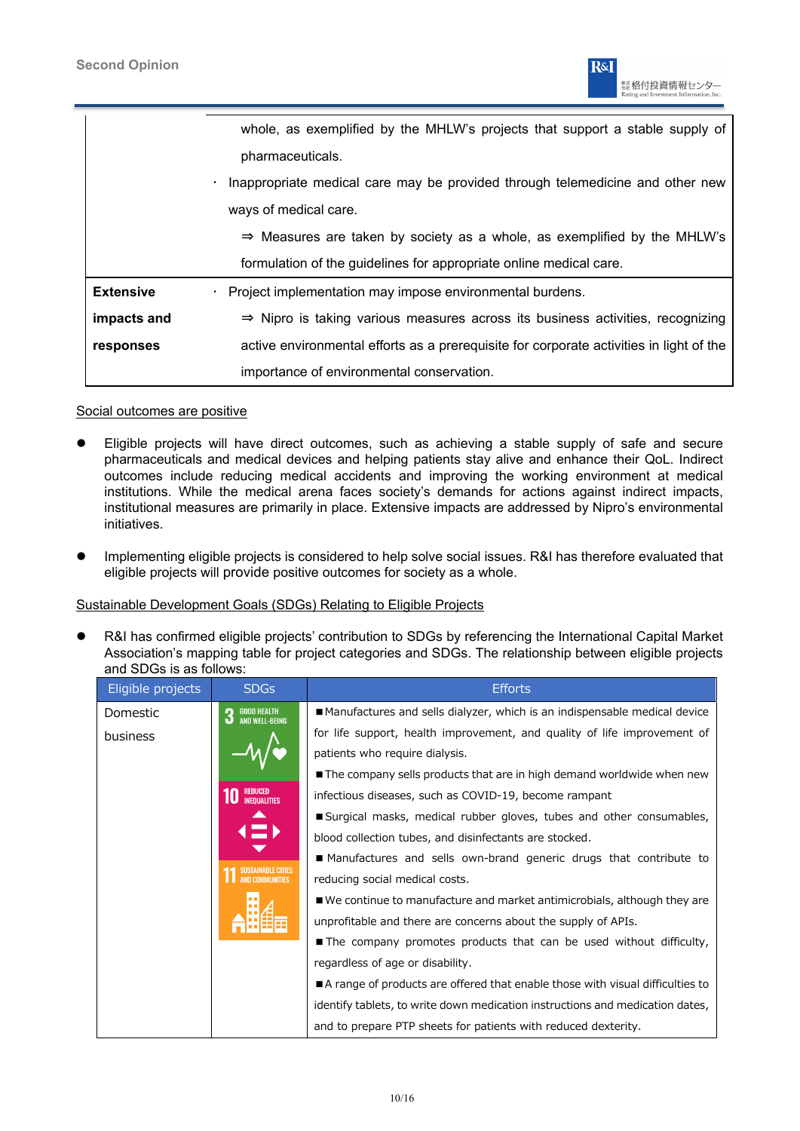

|                  | whole, as exemplified by the MHLW's projects that support a stable supply of               |
|------------------|--------------------------------------------------------------------------------------------|
|                  | pharmaceuticals.                                                                           |
|                  | Inappropriate medical care may be provided through telemedicine and other new<br>$\bullet$ |
|                  | ways of medical care.                                                                      |
|                  | $\Rightarrow$ Measures are taken by society as a whole, as exemplified by the MHLW's       |
|                  | formulation of the guidelines for appropriate online medical care.                         |
| <b>Extensive</b> | · Project implementation may impose environmental burdens.                                 |
| impacts and      | $\Rightarrow$ Nipro is taking various measures across its business activities, recognizing |
| responses        | active environmental efforts as a prerequisite for corporate activities in light of the    |
|                  | importance of environmental conservation.                                                  |

### Social outcomes are positive

- Eligible projects will have direct outcomes, such as achieving a stable supply of safe and secure pharmaceuticals and medical devices and helping patients stay alive and enhance their QoL. Indirect outcomes include reducing medical accidents and improving the working environment at medical institutions. While the medical arena faces society's demands for actions against indirect impacts, institutional measures are primarily in place. Extensive impacts are addressed by Nipro's environmental initiatives.
- Implementing eligible projects is considered to help solve social issues. R&I has therefore evaluated that eligible projects will provide positive outcomes for society as a whole.

### Sustainable Development Goals (SDGs) Relating to Eligible Projects

 R&I has confirmed eligible projects' contribution to SDGs by referencing the International Capital Market Association's mapping table for project categories and SDGs. The relationship between eligible projects and SDGs is as follows:

| Eligible projects | <b>SDGs</b>                                | <b>Efforts</b>                                                                |  |
|-------------------|--------------------------------------------|-------------------------------------------------------------------------------|--|
| Domestic          | <b>GOOD HEALTH<br/>AND WELL-BEING</b><br>3 | ■ Manufactures and sells dialyzer, which is an indispensable medical device   |  |
| business          |                                            | for life support, health improvement, and quality of life improvement of      |  |
|                   |                                            | patients who require dialysis.                                                |  |
|                   |                                            | The company sells products that are in high demand worldwide when new         |  |
|                   | <b>REDUCED</b><br><b>INEQUALITIES</b>      | infectious diseases, such as COVID-19, become rampant                         |  |
|                   |                                            | Surgical masks, medical rubber gloves, tubes and other consumables,           |  |
|                   |                                            | blood collection tubes, and disinfectants are stocked.                        |  |
|                   |                                            | ■ Manufactures and sells own-brand generic drugs that contribute to           |  |
|                   | <b>AND COMMUNITIES</b>                     | reducing social medical costs.                                                |  |
|                   |                                            | ■ We continue to manufacture and market antimicrobials, although they are     |  |
|                   |                                            | unprofitable and there are concerns about the supply of APIs.                 |  |
|                   |                                            | The company promotes products that can be used without difficulty,            |  |
|                   |                                            | regardless of age or disability.                                              |  |
|                   |                                            | A range of products are offered that enable those with visual difficulties to |  |
|                   |                                            | identify tablets, to write down medication instructions and medication dates, |  |
|                   |                                            | and to prepare PTP sheets for patients with reduced dexterity.                |  |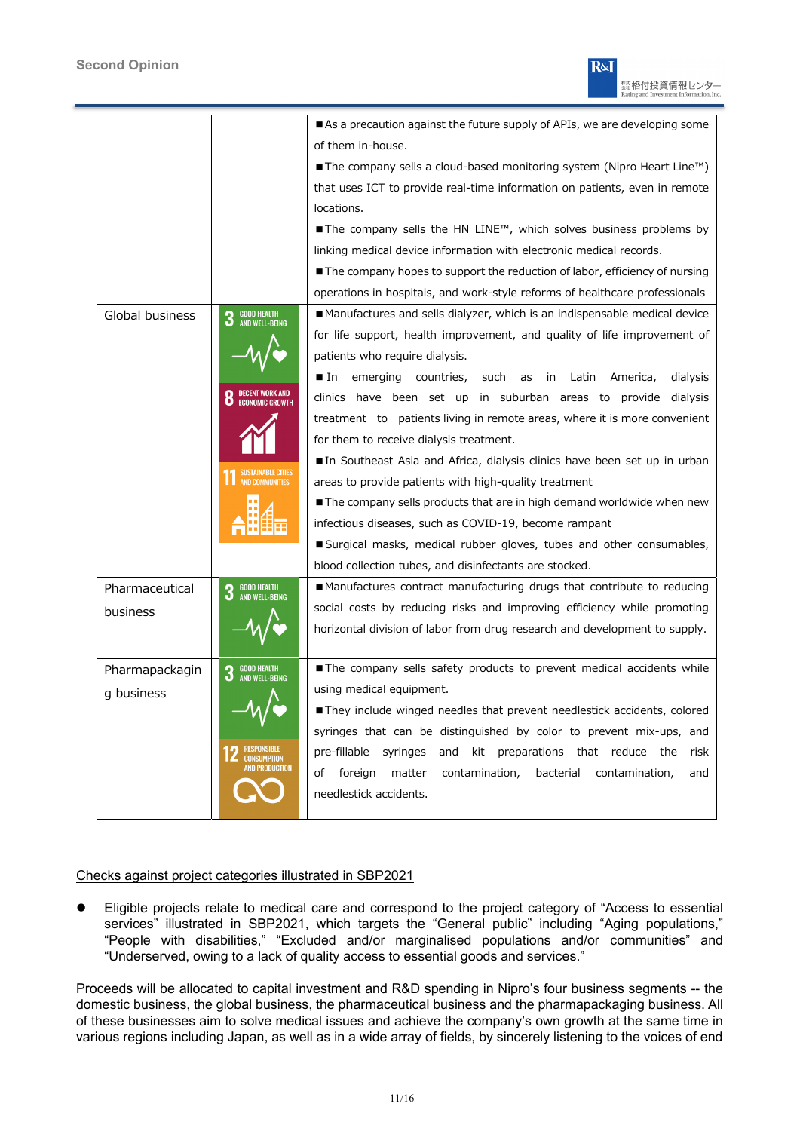

|                 |                                                  | As a precaution against the future supply of APIs, we are developing some                          |
|-----------------|--------------------------------------------------|----------------------------------------------------------------------------------------------------|
|                 |                                                  | of them in-house.                                                                                  |
|                 |                                                  | $\blacksquare$ The company sells a cloud-based monitoring system (Nipro Heart Line <sup>rm</sup> ) |
|                 |                                                  | that uses ICT to provide real-time information on patients, even in remote                         |
|                 |                                                  | locations.                                                                                         |
|                 |                                                  | $\blacksquare$ The company sells the HN LINE <sup>TM</sup> , which solves business problems by     |
|                 |                                                  | linking medical device information with electronic medical records.                                |
|                 |                                                  | The company hopes to support the reduction of labor, efficiency of nursing                         |
|                 |                                                  | operations in hospitals, and work-style reforms of healthcare professionals                        |
| Global business | <b>GOOD HEALTH</b><br><b>AND WELL-BEING</b>      | Manufactures and sells dialyzer, which is an indispensable medical device                          |
|                 |                                                  | for life support, health improvement, and quality of life improvement of                           |
|                 |                                                  | patients who require dialysis.                                                                     |
|                 |                                                  | lacemerging<br>countries,<br>such<br>in Latin America,<br>dialysis<br>as                           |
|                 |                                                  | clinics have been set up in suburban areas to provide dialysis                                     |
|                 |                                                  | treatment to patients living in remote areas, where it is more convenient                          |
|                 |                                                  | for them to receive dialysis treatment.                                                            |
|                 |                                                  | In Southeast Asia and Africa, dialysis clinics have been set up in urban                           |
|                 |                                                  | areas to provide patients with high-quality treatment                                              |
|                 |                                                  | The company sells products that are in high demand worldwide when new                              |
|                 |                                                  | infectious diseases, such as COVID-19, become rampant                                              |
|                 |                                                  | ■ Surgical masks, medical rubber gloves, tubes and other consumables,                              |
|                 |                                                  | blood collection tubes, and disinfectants are stocked.                                             |
| Pharmaceutical  | <b>GOOD HEALTH</b><br><b>AND WELL-BEING</b>      | ■ Manufactures contract manufacturing drugs that contribute to reducing                            |
| business        |                                                  | social costs by reducing risks and improving efficiency while promoting                            |
|                 |                                                  | horizontal division of labor from drug research and development to supply.                         |
|                 |                                                  |                                                                                                    |
| Pharmapackagin  | <b>GOOD HEALTH</b><br>3<br><b>AND WELL-BEING</b> | The company sells safety products to prevent medical accidents while                               |
| g business      |                                                  | using medical equipment.                                                                           |
|                 |                                                  | They include winged needles that prevent needlestick accidents, colored                            |
|                 |                                                  | syringes that can be distinguished by color to prevent mix-ups, and                                |
|                 | IN PRANTICTIAN                                   | pre-fillable syringes<br>and kit preparations that reduce the<br>risk                              |
|                 |                                                  | matter<br>contamination,<br>of<br>foreign<br>bacterial<br>contamination,<br>and                    |
|                 |                                                  | needlestick accidents.                                                                             |
|                 |                                                  |                                                                                                    |

### Checks against project categories illustrated in SBP2021

 Eligible projects relate to medical care and correspond to the project category of "Access to essential services" illustrated in SBP2021, which targets the "General public" including "Aging populations," "People with disabilities," "Excluded and/or marginalised populations and/or communities" and "Underserved, owing to a lack of quality access to essential goods and services."

Proceeds will be allocated to capital investment and R&D spending in Nipro's four business segments -- the domestic business, the global business, the pharmaceutical business and the pharmapackaging business. All of these businesses aim to solve medical issues and achieve the company's own growth at the same time in various regions including Japan, as well as in a wide array of fields, by sincerely listening to the voices of end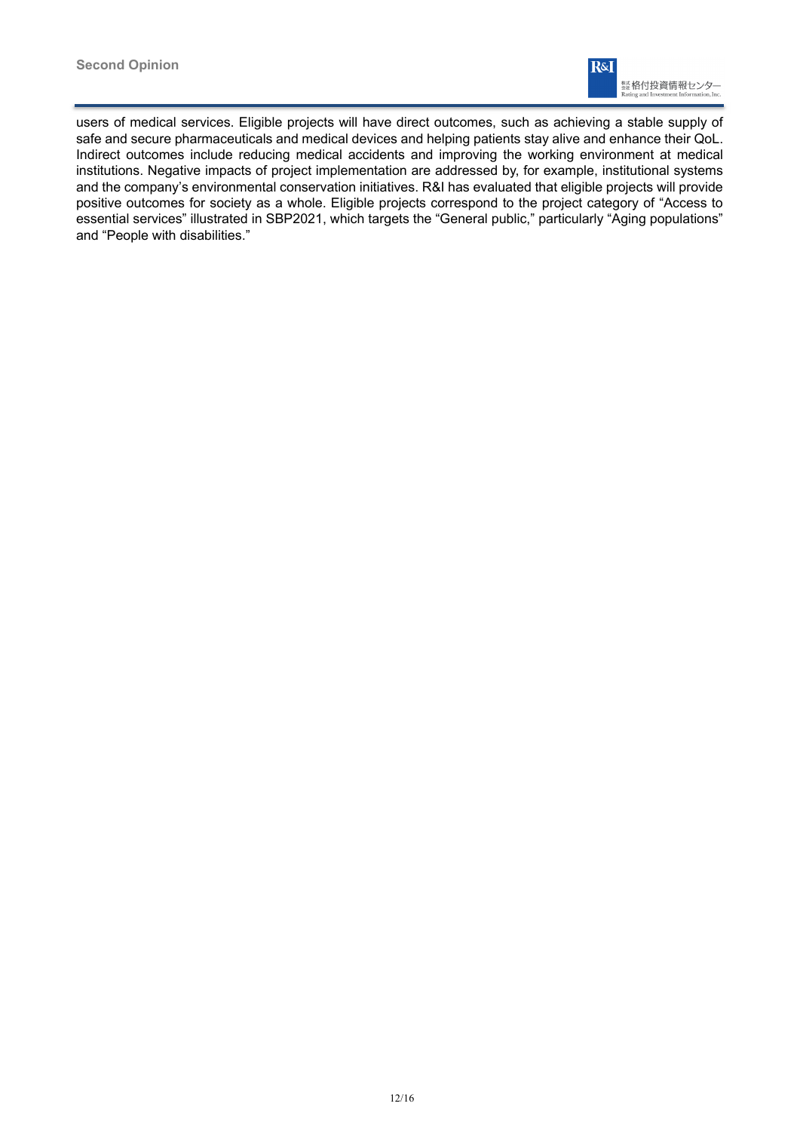

users of medical services. Eligible projects will have direct outcomes, such as achieving a stable supply of safe and secure pharmaceuticals and medical devices and helping patients stay alive and enhance their QoL. Indirect outcomes include reducing medical accidents and improving the working environment at medical institutions. Negative impacts of project implementation are addressed by, for example, institutional systems and the company's environmental conservation initiatives. R&I has evaluated that eligible projects will provide positive outcomes for society as a whole. Eligible projects correspond to the project category of "Access to essential services" illustrated in SBP2021, which targets the "General public," particularly "Aging populations" and "People with disabilities."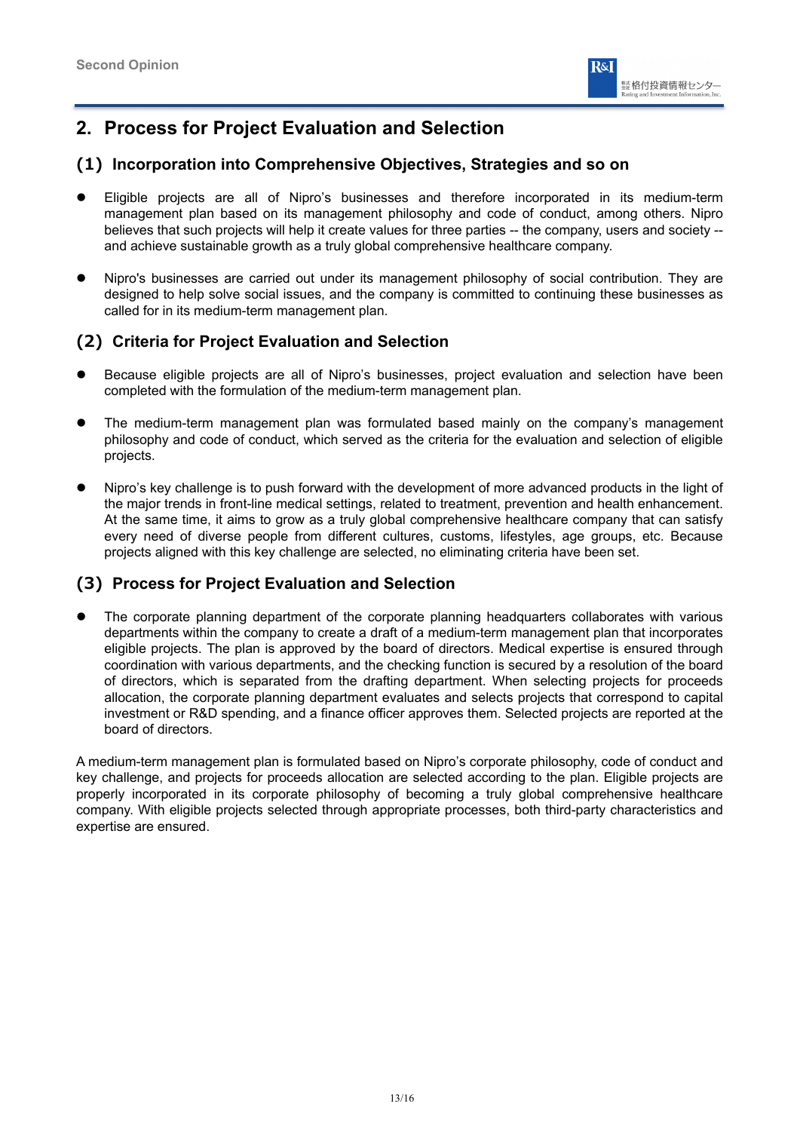

## **2. Process for Project Evaluation and Selection**

## **(1) Incorporation into Comprehensive Objectives, Strategies and so on**

- Eligible projects are all of Nipro's businesses and therefore incorporated in its medium-term management plan based on its management philosophy and code of conduct, among others. Nipro believes that such projects will help it create values for three parties -- the company, users and society - and achieve sustainable growth as a truly global comprehensive healthcare company.
- Nipro's businesses are carried out under its management philosophy of social contribution. They are designed to help solve social issues, and the company is committed to continuing these businesses as called for in its medium-term management plan.

## **(2) Criteria for Project Evaluation and Selection**

- Because eligible projects are all of Nipro's businesses, project evaluation and selection have been completed with the formulation of the medium-term management plan.
- The medium-term management plan was formulated based mainly on the company's management philosophy and code of conduct, which served as the criteria for the evaluation and selection of eligible projects.
- Nipro's key challenge is to push forward with the development of more advanced products in the light of the major trends in front-line medical settings, related to treatment, prevention and health enhancement. At the same time, it aims to grow as a truly global comprehensive healthcare company that can satisfy every need of diverse people from different cultures, customs, lifestyles, age groups, etc. Because projects aligned with this key challenge are selected, no eliminating criteria have been set.

## **(3) Process for Project Evaluation and Selection**

 The corporate planning department of the corporate planning headquarters collaborates with various departments within the company to create a draft of a medium-term management plan that incorporates eligible projects. The plan is approved by the board of directors. Medical expertise is ensured through coordination with various departments, and the checking function is secured by a resolution of the board of directors, which is separated from the drafting department. When selecting projects for proceeds allocation, the corporate planning department evaluates and selects projects that correspond to capital investment or R&D spending, and a finance officer approves them. Selected projects are reported at the board of directors.

A medium-term management plan is formulated based on Nipro's corporate philosophy, code of conduct and key challenge, and projects for proceeds allocation are selected according to the plan. Eligible projects are properly incorporated in its corporate philosophy of becoming a truly global comprehensive healthcare company. With eligible projects selected through appropriate processes, both third-party characteristics and expertise are ensured.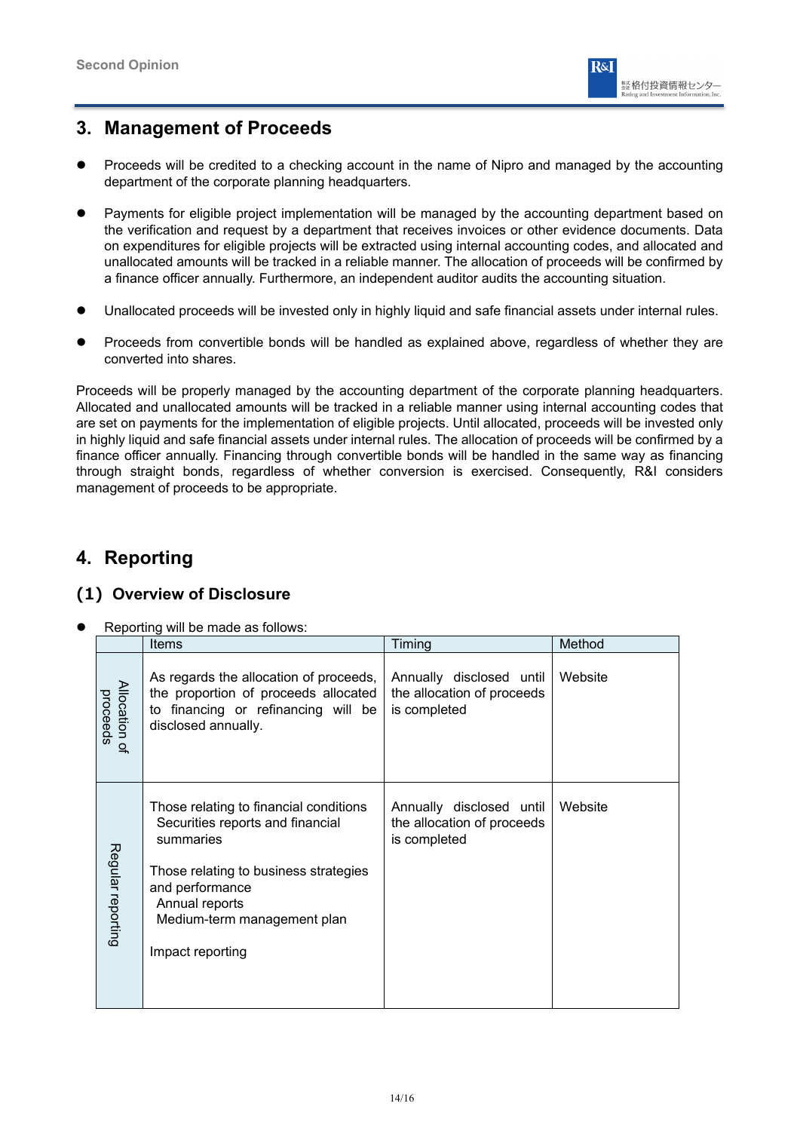

## **3. Management of Proceeds**

- Proceeds will be credited to a checking account in the name of Nipro and managed by the accounting department of the corporate planning headquarters.
- Payments for eligible project implementation will be managed by the accounting department based on the verification and request by a department that receives invoices or other evidence documents. Data on expenditures for eligible projects will be extracted using internal accounting codes, and allocated and unallocated amounts will be tracked in a reliable manner. The allocation of proceeds will be confirmed by a finance officer annually. Furthermore, an independent auditor audits the accounting situation.
- Unallocated proceeds will be invested only in highly liquid and safe financial assets under internal rules.
- Proceeds from convertible bonds will be handled as explained above, regardless of whether they are converted into shares.

Proceeds will be properly managed by the accounting department of the corporate planning headquarters. Allocated and unallocated amounts will be tracked in a reliable manner using internal accounting codes that are set on payments for the implementation of eligible projects. Until allocated, proceeds will be invested only in highly liquid and safe financial assets under internal rules. The allocation of proceeds will be confirmed by a finance officer annually. Financing through convertible bonds will be handled in the same way as financing through straight bonds, regardless of whether conversion is exercised. Consequently, R&I considers management of proceeds to be appropriate.

## **4. Reporting**

## **(1) Overview of Disclosure**

Reporting will be made as follows:

|                           | Items                                                                                                                                                                                                                    | Timing                                                                 | Method  |
|---------------------------|--------------------------------------------------------------------------------------------------------------------------------------------------------------------------------------------------------------------------|------------------------------------------------------------------------|---------|
| Allocation of<br>proceeds | As regards the allocation of proceeds,<br>the proportion of proceeds allocated<br>to financing or refinancing will be<br>disclosed annually.                                                                             | Annually disclosed until<br>the allocation of proceeds<br>is completed | Website |
| Regular reporting         | Those relating to financial conditions<br>Securities reports and financial<br>summaries<br>Those relating to business strategies<br>and performance<br>Annual reports<br>Medium-term management plan<br>Impact reporting | Annually disclosed until<br>the allocation of proceeds<br>is completed | Website |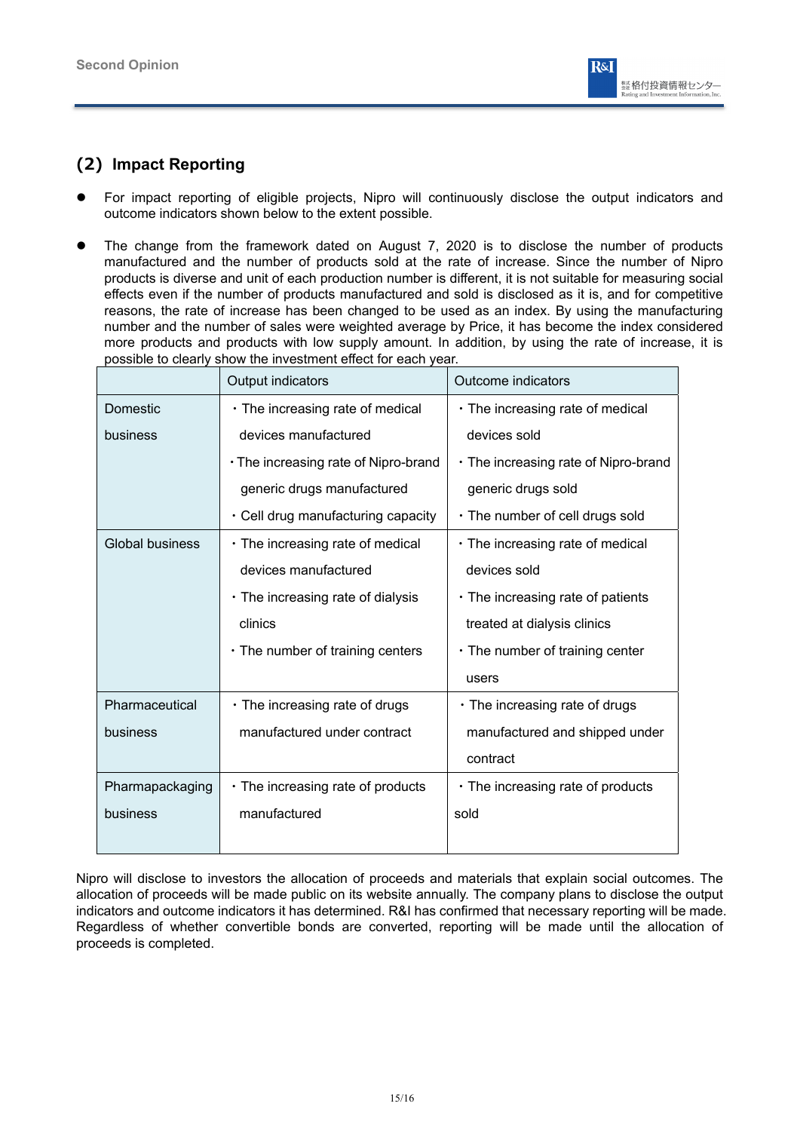

## **(2) Impact Reporting**

- For impact reporting of eligible projects, Nipro will continuously disclose the output indicators and outcome indicators shown below to the extent possible.
- The change from the framework dated on August 7, 2020 is to disclose the number of products manufactured and the number of products sold at the rate of increase. Since the number of Nipro products is diverse and unit of each production number is different, it is not suitable for measuring social effects even if the number of products manufactured and sold is disclosed as it is, and for competitive reasons, the rate of increase has been changed to be used as an index. By using the manufacturing number and the number of sales were weighted average by Price, it has become the index considered more products and products with low supply amount. In addition, by using the rate of increase, it is possible to clearly show the investment effect for each year.

|                        | Output indicators                      | Outcome indicators                      |
|------------------------|----------------------------------------|-----------------------------------------|
| Domestic               | • The increasing rate of medical       | • The increasing rate of medical        |
| business               | devices manufactured                   | devices sold                            |
|                        | · The increasing rate of Nipro-brand   | • The increasing rate of Nipro-brand    |
|                        | generic drugs manufactured             | generic drugs sold                      |
|                        | · Cell drug manufacturing capacity     | • The number of cell drugs sold         |
| <b>Global business</b> | • The increasing rate of medical       | • The increasing rate of medical        |
|                        | devices manufactured                   | devices sold                            |
|                        | • The increasing rate of dialysis      | $\cdot$ The increasing rate of patients |
|                        | clinics                                | treated at dialysis clinics             |
|                        | $\cdot$ The number of training centers | $\cdot$ The number of training center   |
|                        |                                        | users                                   |
| Pharmaceutical         | • The increasing rate of drugs         | • The increasing rate of drugs          |
| business               | manufactured under contract            | manufactured and shipped under          |
|                        |                                        | contract                                |
| Pharmapackaging        | • The increasing rate of products      | • The increasing rate of products       |
| business               | manufactured                           | sold                                    |
|                        |                                        |                                         |

Nipro will disclose to investors the allocation of proceeds and materials that explain social outcomes. The allocation of proceeds will be made public on its website annually. The company plans to disclose the output indicators and outcome indicators it has determined. R&I has confirmed that necessary reporting will be made. Regardless of whether convertible bonds are converted, reporting will be made until the allocation of proceeds is completed.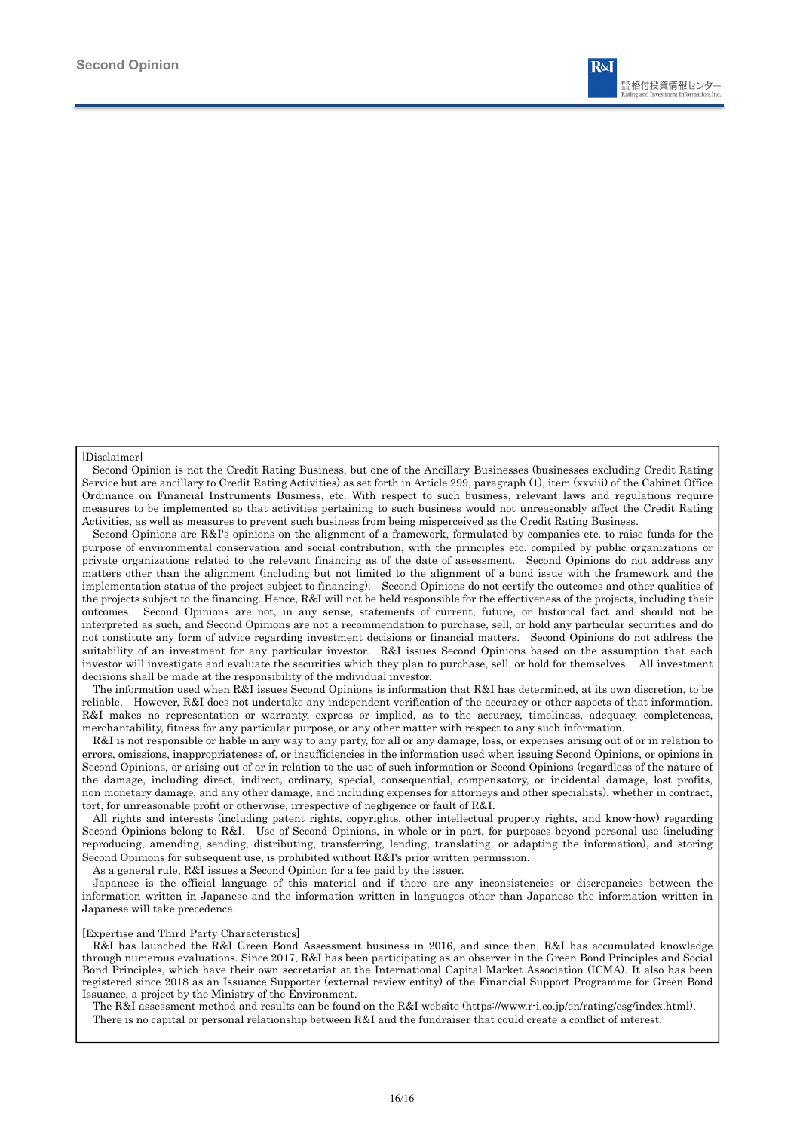

#### [Disclaimer]

Second Opinion is not the Credit Rating Business, but one of the Ancillary Businesses (businesses excluding Credit Rating Service but are ancillary to Credit Rating Activities) as set forth in Article 299, paragraph (1), item (xxviii) of the Cabinet Office Ordinance on Financial Instruments Business, etc. With respect to such business, relevant laws and regulations require measures to be implemented so that activities pertaining to such business would not unreasonably affect the Credit Rating Activities, as well as measures to prevent such business from being misperceived as the Credit Rating Business.

Second Opinions are R&I's opinions on the alignment of a framework, formulated by companies etc. to raise funds for the purpose of environmental conservation and social contribution, with the principles etc. compiled by public organizations or private organizations related to the relevant financing as of the date of assessment. Second Opinions do not address any matters other than the alignment (including but not limited to the alignment of a bond issue with the framework and the implementation status of the project subject to financing). Second Opinions do not certify the outcomes and other qualities of the projects subject to the financing. Hence, R&I will not be held responsible for the effectiveness of the projects, including their outcomes. Second Opinions are not, in any sense, statements of current, future, or historical fact and should not be interpreted as such, and Second Opinions are not a recommendation to purchase, sell, or hold any particular securities and do not constitute any form of advice regarding investment decisions or financial matters. Second Opinions do not address the suitability of an investment for any particular investor. R&I issues Second Opinions based on the assumption that each investor will investigate and evaluate the securities which they plan to purchase, sell, or hold for themselves. All investment decisions shall be made at the responsibility of the individual investor.

The information used when R&I issues Second Opinions is information that R&I has determined, at its own discretion, to be reliable. However, R&I does not undertake any independent verification of the accuracy or other aspects of that information. R&I makes no representation or warranty, express or implied, as to the accuracy, timeliness, adequacy, completeness, merchantability, fitness for any particular purpose, or any other matter with respect to any such information.

R&I is not responsible or liable in any way to any party, for all or any damage, loss, or expenses arising out of or in relation to errors, omissions, inappropriateness of, or insufficiencies in the information used when issuing Second Opinions, or opinions in Second Opinions, or arising out of or in relation to the use of such information or Second Opinions (regardless of the nature of the damage, including direct, indirect, ordinary, special, consequential, compensatory, or incidental damage, lost profits, non-monetary damage, and any other damage, and including expenses for attorneys and other specialists), whether in contract, tort, for unreasonable profit or otherwise, irrespective of negligence or fault of R&I.

All rights and interests (including patent rights, copyrights, other intellectual property rights, and know-how) regarding Second Opinions belong to R&I. Use of Second Opinions, in whole or in part, for purposes beyond personal use (including reproducing, amending, sending, distributing, transferring, lending, translating, or adapting the information), and storing Second Opinions for subsequent use, is prohibited without R&I's prior written permission.

As a general rule, R&I issues a Second Opinion for a fee paid by the issuer.

Japanese is the official language of this material and if there are any inconsistencies or discrepancies between the information written in Japanese and the information written in languages other than Japanese the information written in Japanese will take precedence.

#### [Expertise and Third-Party Characteristics]

R&I has launched the R&I Green Bond Assessment business in 2016, and since then, R&I has accumulated knowledge through numerous evaluations. Since 2017, R&I has been participating as an observer in the Green Bond Principles and Social Bond Principles, which have their own secretariat at the International Capital Market Association (ICMA). It also has been registered since 2018 as an Issuance Supporter (external review entity) of the Financial Support Programme for Green Bond Issuance, a project by the Ministry of the Environment.

The R&I assessment method and results can be found on the R&I website (https://www.r-i.co.jp/en/rating/esg/index.html). There is no capital or personal relationship between R&I and the fundraiser that could create a conflict of interest.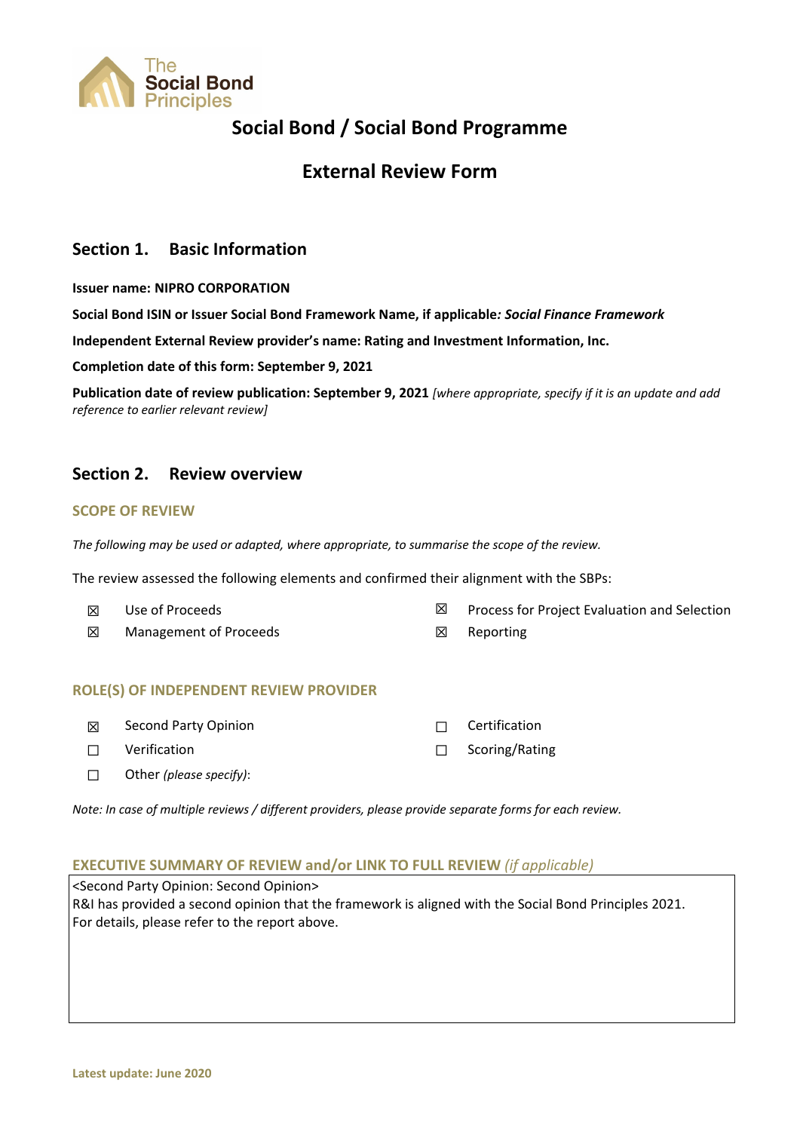

## **Social Bond / Social Bond Programme**

## **External Review Form**

## **Section 1. Basic Information**

**Issuer name: NIPRO CORPORATION**

**Social Bond ISIN or Issuer Social Bond Framework Name, if applicable***: Social Finance Framework*

**Independent External Review provider's name: Rating and Investment Information, Inc.** 

**Completion date of this form: September 9, 2021**

Publication date of review publication: September 9, 2021 [where appropriate, specify if it is an update and add *reference to earlier relevant review]*

## **Section 2. Review overview**

### **SCOPE OF REVIEW**

*The following may be used or adapted, where appropriate, to summarise the scope of the review.* 

The review assessed the following elements and confirmed their alignment with the SBPs:

| $\boxtimes$ | Use of Proceeds        |             | Process for Project Evaluation and Selection |
|-------------|------------------------|-------------|----------------------------------------------|
| $\boxtimes$ | Management of Proceeds | $\boxtimes$ | Reporting                                    |

### **ROLE(S) OF INDEPENDENT REVIEW PROVIDER**

| 冈      | Second Party Opinion    | $\Box$ Certification  |
|--------|-------------------------|-----------------------|
| $\Box$ | Verification            | $\Box$ Scoring/Rating |
| $\Box$ | Other (please specify): |                       |

*Note: In case of multiple reviews / different providers, please provide separate forms for each review.* 

### **EXECUTIVE SUMMARY OF REVIEW and/or LINK TO FULL REVIEW** *(if applicable)*

<Second Party Opinion: Second Opinion> R&I has provided a second opinion that the framework is aligned with the Social Bond Principles 2021. For details, please refer to the report above.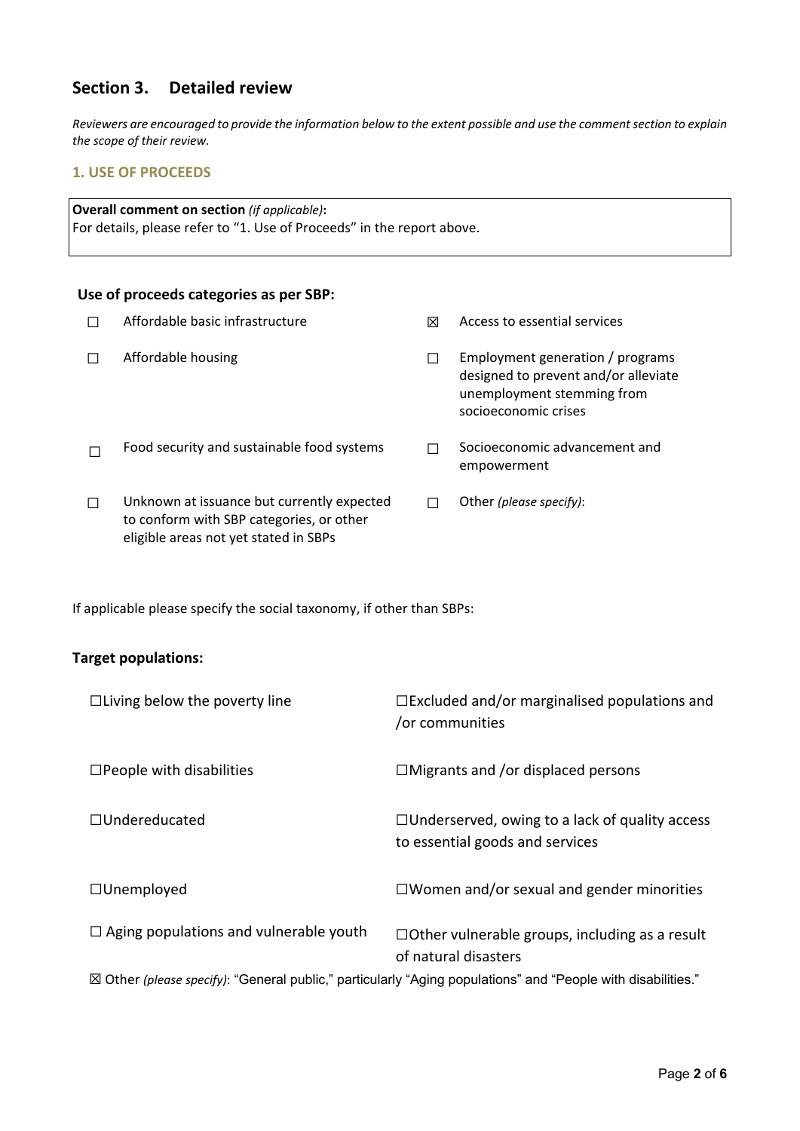## **Section 3. Detailed review**

Reviewers are encouraged to provide the information below to the extent possible and use the comment section to explain *the scope of their review.*

## **1. USE OF PROCEEDS**

**Overall comment on section** *(if applicable)***:** For details, please refer to "1. Use of Proceeds" in the report above.

### **Use of proceeds categories as per SBP:**

| Affordable basic infrastructure                                                                                                 | ⊠ | Access to essential services                                                                                                   |
|---------------------------------------------------------------------------------------------------------------------------------|---|--------------------------------------------------------------------------------------------------------------------------------|
| Affordable housing                                                                                                              |   | Employment generation / programs<br>designed to prevent and/or alleviate<br>unemployment stemming from<br>socioeconomic crises |
| Food security and sustainable food systems                                                                                      |   | Socioeconomic advancement and<br>empowerment                                                                                   |
| Unknown at issuance but currently expected<br>to conform with SBP categories, or other<br>eligible areas not yet stated in SBPs |   | Other (please specify):                                                                                                        |

If applicable please specify the social taxonomy, if other than SBPs:

### **Target populations:**

| $\Box$ Living below the poverty line                                                                         | $\Box$ Excluded and/or marginalised populations and<br>/or communities                   |  |
|--------------------------------------------------------------------------------------------------------------|------------------------------------------------------------------------------------------|--|
| $\Box$ People with disabilities                                                                              | $\Box$ Migrants and /or displaced persons                                                |  |
| $\Box$ Undereducated                                                                                         | $\Box$ Underserved, owing to a lack of quality access<br>to essential goods and services |  |
| $\Box$ Unemployed                                                                                            | $\Box$ Women and/or sexual and gender minorities                                         |  |
| $\Box$ Aging populations and vulnerable youth                                                                | $\Box$ Other vulnerable groups, including as a result<br>of natural disasters            |  |
| ⊠ Other (please specify): "General public," particularly "Aging populations" and "People with disabilities." |                                                                                          |  |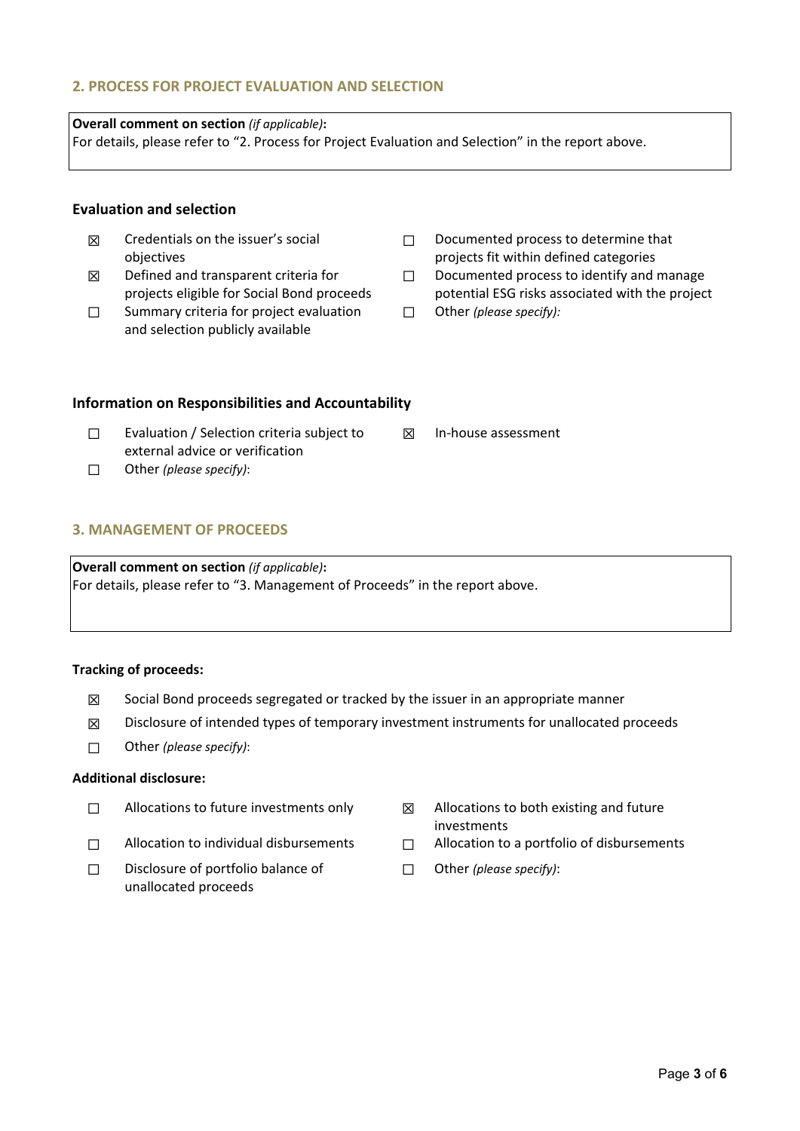## **2. PROCESS FOR PROJECT EVALUATION AND SELECTION**

## **Overall comment on section** *(if applicable)***:**

For details, please refer to "2. Process for Project Evaluation and Selection" in the report above.

## **Evaluation and selection**

- ☒ Credentials on the issuer's social objectives
- ☒ Defined and transparent criteria for projects eligible for Social Bond proceeds
- □ Summary criteria for project evaluation and selection publicly available
- ☐ Documented process to determine that projects fit within defined categories
- ☐ Documented process to identify and manage potential ESG risks associated with the project
- ☐ Other *(please specify):*

☒ In‐house assessment

## **Information on Responsibilities and Accountability**

- ☐ Evaluation / Selection criteria subject to external advice or verification
- ☐ Other *(please specify)*:

## **3. MANAGEMENT OF PROCEEDS**

**Overall comment on section** *(if applicable)***:** For details, please refer to "3. Management of Proceeds" in the report above.

## **Tracking of proceeds:**

- $\boxtimes$  Social Bond proceeds segregated or tracked by the issuer in an appropriate manner
- $\boxtimes$  Disclosure of intended types of temporary investment instruments for unallocated proceeds
- ☐ Other *(please specify)*:

## **Additional disclosure:**

- 
- 
- □ Disclosure of portfolio balance of unallocated proceeds
- $\Box$  Allocations to future investments only  $\boxtimes$  Allocations to both existing and future investments
- ☐ Allocation to individual disbursements ☐ Allocation to a portfolio of disbursements
	- ☐ Other *(please specify)*: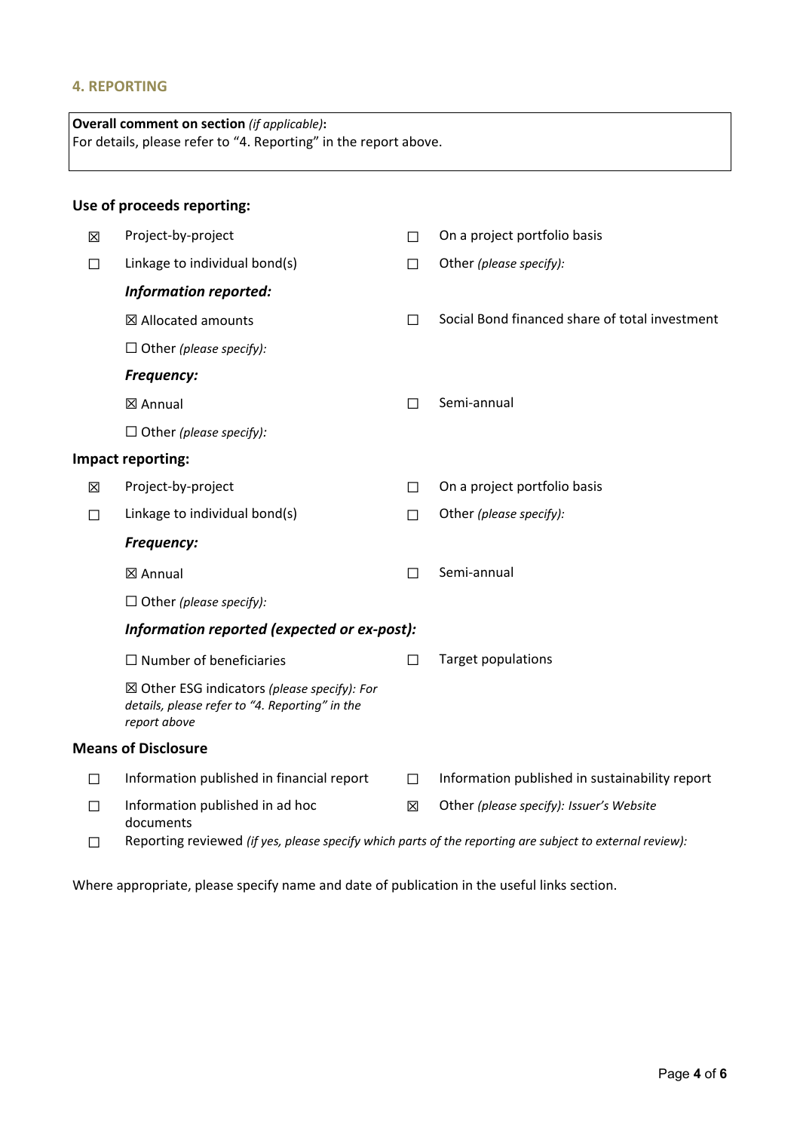## **4. REPORTING**

| <b>Overall comment on section</b> (if applicable):<br>For details, please refer to "4. Reporting" in the report above. |                                                                                                                          |   |                                                |
|------------------------------------------------------------------------------------------------------------------------|--------------------------------------------------------------------------------------------------------------------------|---|------------------------------------------------|
|                                                                                                                        | Use of proceeds reporting:                                                                                               |   |                                                |
| ⊠                                                                                                                      | Project-by-project                                                                                                       | П | On a project portfolio basis                   |
| П                                                                                                                      | Linkage to individual bond(s)                                                                                            | П | Other (please specify):                        |
|                                                                                                                        | <b>Information reported:</b>                                                                                             |   |                                                |
|                                                                                                                        | ⊠ Allocated amounts                                                                                                      | П | Social Bond financed share of total investment |
|                                                                                                                        | $\Box$ Other (please specify):                                                                                           |   |                                                |
|                                                                                                                        | <b>Frequency:</b>                                                                                                        |   |                                                |
|                                                                                                                        | ⊠ Annual                                                                                                                 | П | Semi-annual                                    |
|                                                                                                                        | $\Box$ Other (please specify):                                                                                           |   |                                                |
|                                                                                                                        | Impact reporting:                                                                                                        |   |                                                |
| 区                                                                                                                      | Project-by-project                                                                                                       | П | On a project portfolio basis                   |
| П                                                                                                                      | Linkage to individual bond(s)                                                                                            | П | Other (please specify):                        |
|                                                                                                                        | <b>Frequency:</b>                                                                                                        |   |                                                |
|                                                                                                                        | ⊠ Annual                                                                                                                 | П | Semi-annual                                    |
|                                                                                                                        | $\Box$ Other (please specify):                                                                                           |   |                                                |
|                                                                                                                        | Information reported (expected or ex-post):                                                                              |   |                                                |
|                                                                                                                        | $\Box$ Number of beneficiaries                                                                                           | П | <b>Target populations</b>                      |
|                                                                                                                        | $\boxtimes$ Other ESG indicators (please specify): For<br>details, please refer to "4. Reporting" in the<br>report above |   |                                                |
|                                                                                                                        | <b>Means of Disclosure</b>                                                                                               |   |                                                |
| П                                                                                                                      | Information published in financial report                                                                                | П | Information published in sustainability report |
| П                                                                                                                      | Information published in ad hoc<br>documents                                                                             | 図 | Other (please specify): Issuer's Website       |
| ப                                                                                                                      | Reporting reviewed (if yes, please specify which parts of the reporting are subject to external review):                 |   |                                                |

Where appropriate, please specify name and date of publication in the useful links section.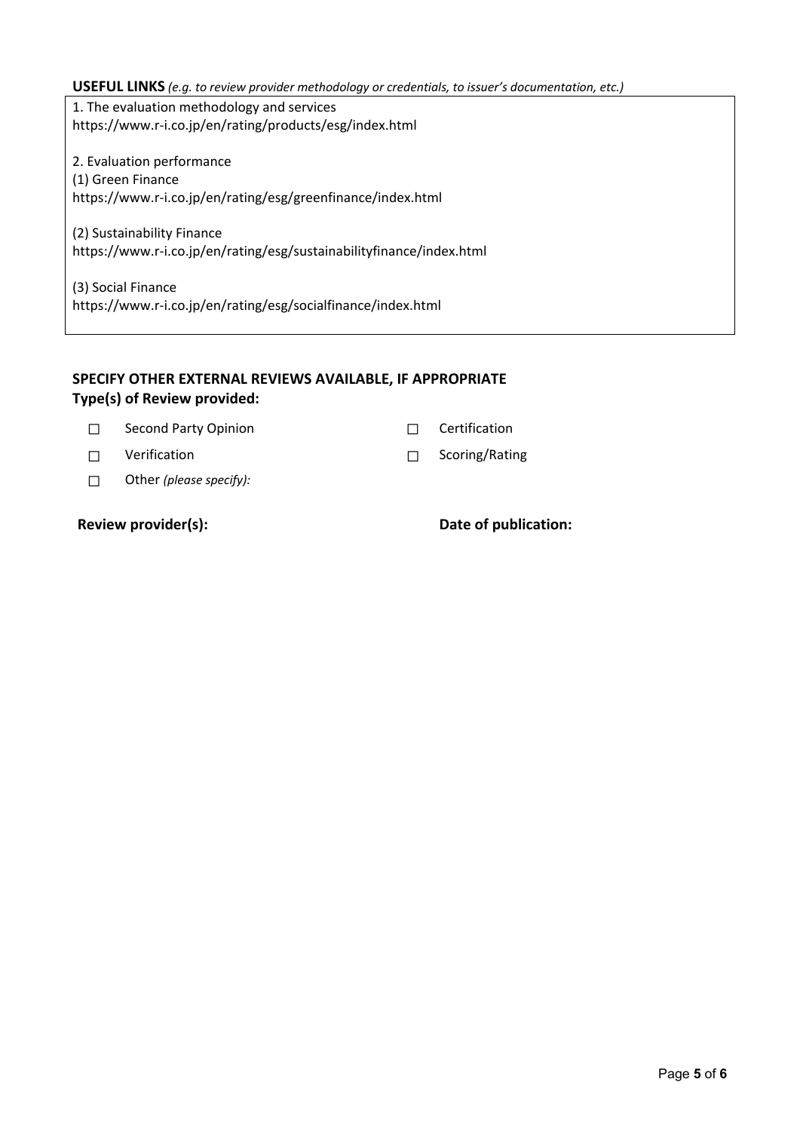### **USEFUL LINKS** *(e.g. to review provider methodology or credentials, to issuer's documentation, etc.)*

1. The evaluation methodology and services https://www.r‐i.co.jp/en/rating/products/esg/index.html

2. Evaluation performance (1) Green Finance https://www.r‐i.co.jp/en/rating/esg/greenfinance/index.html

(2) Sustainability Finance https://www.r‐i.co.jp/en/rating/esg/sustainabilityfinance/index.html

(3) Social Finance https://www.r‐i.co.jp/en/rating/esg/socialfinance/index.html

## **SPECIFY OTHER EXTERNAL REVIEWS AVAILABLE, IF APPROPRIATE Type(s) of Review provided:**

☐ Second Party Opinion ☐ Certification

☐ Verification ☐ Scoring/Rating

☐ Other *(please specify):*

**Review provider(s): Date of publication:**